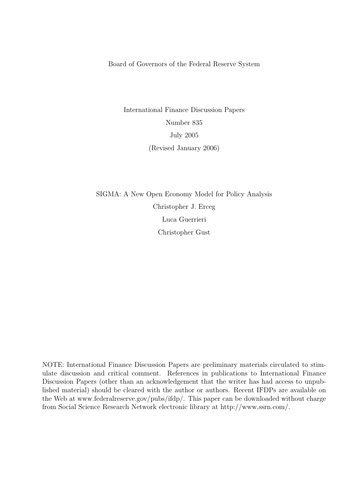Board of Governors of the Federal Reserve System

International Finance Discussion Papers Number 835 July 2005 (Revised January 2006)

SIGMA: A New Open Economy Model for Policy Analysis Christopher J. Erceg Luca Guerrieri Christopher Gust

NOTE: International Finance Discussion Papers are preliminary materials circulated to stimulate discussion and critical comment. References in publications to International Finance Discussion Papers (other than an acknowledgement that the writer has had access to unpublished material) should be cleared with the author or authors. Recent IFDPs are available on the Web at www.federalreserve.gov/pubs/ifdp/. This paper can be downloaded without charge from Social Science Research Network electronic library at http://www.ssrn.com/.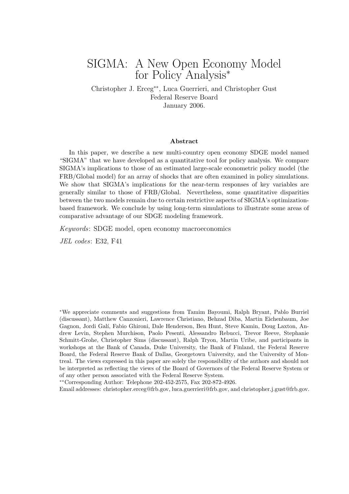## SIGMA: A New Open Economy Model for Policy Analysis<sup>∗</sup>

Christopher J. Erceg∗∗, Luca Guerrieri, and Christopher Gust Federal Reserve Board January 2006.

#### Abstract

In this paper, we describe a new multi-country open economy SDGE model named "SIGMA" that we have developed as a quantitative tool for policy analysis. We compare SIGMA's implications to those of an estimated large-scale econometric policy model (the FRB/Global model) for an array of shocks that are often examined in policy simulations. We show that SIGMA's implications for the near-term responses of key variables are generally similar to those of FRB/Global. Nevertheless, some quantitative disparities between the two models remain due to certain restrictive aspects of SIGMA's optimizationbased framework. We conclude by using long-term simulations to illustrate some areas of comparative advantage of our SDGE modeling framework.

Keywords: SDGE model, open economy macroeconomics

JEL codes: E32, F41

<sup>∗</sup>We appreciate comments and suggestions from Tamim Bayoumi, Ralph Bryant, Pablo Burriel (discussant), Matthew Canzonieri, Lawrence Christiano, Behzad Diba, Martin Eichenbaum, Joe Gagnon, Jordi Gal´ı, Fabio Ghironi, Dale Henderson, Ben Hunt, Steve Kamin, Doug Laxton, Andrew Levin, Stephen Murchison, Paolo Pesenti, Alessandro Rebucci, Trevor Reeve, Stephanie Schmitt-Grohe, Christopher Sims (discussant), Ralph Tryon, Martin Uribe, and participants in workshops at the Bank of Canada, Duke University, the Bank of Finland, the Federal Reserve Board, the Federal Reserve Bank of Dallas, Georgetown University, and the University of Montreal. The views expressed in this paper are solely the responsibility of the authors and should not be interpreted as reflecting the views of the Board of Governors of the Federal Reserve System or of any other person associated with the Federal Reserve System.

∗∗Corresponding Author: Telephone 202-452-2575, Fax 202-872-4926.

Email addresses: christopher.erceg@frb.gov, luca.guerrieri@frb.gov, and christopher.j.gust@frb.gov.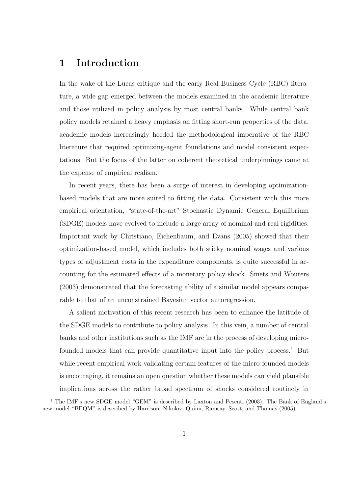### 1 Introduction

In the wake of the Lucas critique and the early Real Business Cycle (RBC) literature, a wide gap emerged between the models examined in the academic literature and those utilized in policy analysis by most central banks. While central bank policy models retained a heavy emphasis on fitting short-run properties of the data, academic models increasingly heeded the methodological imperative of the RBC literature that required optimizing-agent foundations and model consistent expectations. But the focus of the latter on coherent theoretical underpinnings came at the expense of empirical realism.

In recent years, there has been a surge of interest in developing optimizationbased models that are more suited to fitting the data. Consistent with this more empirical orientation, "state-of-the-art" Stochastic Dynamic General Equilibrium (SDGE) models have evolved to include a large array of nominal and real rigidities. Important work by Christiano, Eichenbaum, and Evans (2005) showed that their optimization-based model, which includes both sticky nominal wages and various types of adjustment costs in the expenditure components, is quite successful in accounting for the estimated effects of a monetary policy shock. Smets and Wouters (2003) demonstrated that the forecasting ability of a similar model appears comparable to that of an unconstrained Bayesian vector autoregression.

A salient motivation of this recent research has been to enhance the latitude of the SDGE models to contribute to policy analysis. In this vein, a number of central banks and other institutions such as the IMF are in the process of developing microfounded models that can provide quantitative input into the policy process.<sup>1</sup> But while recent empirical work validating certain features of the micro-founded models is encouraging, it remains an open question whether these models can yield plausible implications across the rather broad spectrum of shocks considered routinely in

<sup>&</sup>lt;sup>1</sup> The IMF's new SDGE model "GEM" is described by Laxton and Pesenti (2003). The Bank of England's new model "BEQM" is described by Harrison, Nikolov, Quinn, Ramsay, Scott, and Thomas (2005).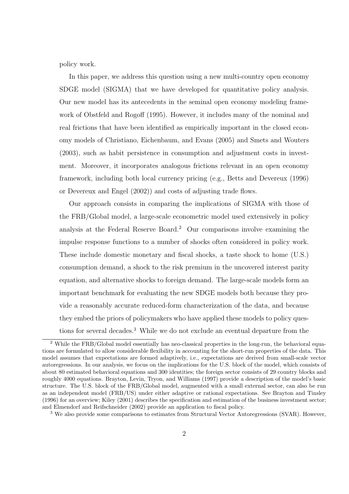policy work.

In this paper, we address this question using a new multi-country open economy SDGE model (SIGMA) that we have developed for quantitative policy analysis. Our new model has its antecedents in the seminal open economy modeling framework of Obstfeld and Rogoff (1995). However, it includes many of the nominal and real frictions that have been identified as empirically important in the closed economy models of Christiano, Eichenbaum, and Evans (2005) and Smets and Wouters (2003), such as habit persistence in consumption and adjustment costs in investment. Moreover, it incorporates analogous frictions relevant in an open economy framework, including both local currency pricing (e.g., Betts and Devereux (1996) or Devereux and Engel (2002)) and costs of adjusting trade flows.

Our approach consists in comparing the implications of SIGMA with those of the FRB/Global model, a large-scale econometric model used extensively in policy analysis at the Federal Reserve Board.<sup>2</sup> Our comparisons involve examining the impulse response functions to a number of shocks often considered in policy work. These include domestic monetary and fiscal shocks, a taste shock to home (U.S.) consumption demand, a shock to the risk premium in the uncovered interest parity equation, and alternative shocks to foreign demand. The large-scale models form an important benchmark for evaluating the new SDGE models both because they provide a reasonably accurate reduced-form characterization of the data, and because they embed the priors of policymakers who have applied these models to policy questions for several decades.<sup>3</sup> While we do not exclude an eventual departure from the

<sup>2</sup> While the FRB/Global model essentially has neo-classical properties in the long-run, the behavioral equations are formulated to allow considerable flexibility in accounting for the short-run properties of the data. This model assumes that expectations are formed adaptively, i.e., expectations are derived from small-scale vector autoregressions. In our analysis, we focus on the implications for the U.S. block of the model, which consists of about 80 estimated behavioral equations and 300 identities; the foreign sector consists of 29 country blocks and roughly 4000 equations. Brayton, Levin, Tryon, and Williams (1997) provide a description of the model's basic structure. The U.S. block of the FRB/Global model, augmented with a small external sector, can also be run as an independent model (FRB/US) under either adaptive or rational expectations. See Brayton and Tinsley (1996) for an overview; Kiley (2001) describes the specification and estimation of the business investment sector; and Elmendorf and Reifschneider (2002) provide an application to fiscal policy.

<sup>&</sup>lt;sup>3</sup> We also provide some comparisons to estimates from Structural Vector Autoregressions (SVAR). However,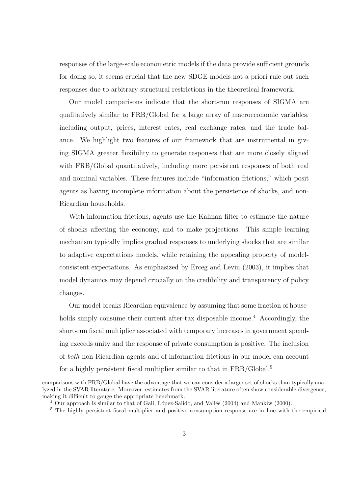responses of the large-scale econometric models if the data provide sufficient grounds for doing so, it seems crucial that the new SDGE models not a priori rule out such responses due to arbitrary structural restrictions in the theoretical framework.

Our model comparisons indicate that the short-run responses of SIGMA are qualitatively similar to FRB/Global for a large array of macroeconomic variables, including output, prices, interest rates, real exchange rates, and the trade balance. We highlight two features of our framework that are instrumental in giving SIGMA greater flexibility to generate responses that are more closely aligned with FRB/Global quantitatively, including more persistent responses of both real and nominal variables. These features include "information frictions," which posit agents as having incomplete information about the persistence of shocks, and non-Ricardian households.

With information frictions, agents use the Kalman filter to estimate the nature of shocks affecting the economy, and to make projections. This simple learning mechanism typically implies gradual responses to underlying shocks that are similar to adaptive expectations models, while retaining the appealing property of modelconsistent expectations. As emphasized by Erceg and Levin (2003), it implies that model dynamics may depend crucially on the credibility and transparency of policy changes.

Our model breaks Ricardian equivalence by assuming that some fraction of households simply consume their current after-tax disposable income.<sup>4</sup> Accordingly, the short-run fiscal multiplier associated with temporary increases in government spending exceeds unity and the response of private consumption is positive. The inclusion of both non-Ricardian agents and of information frictions in our model can account for a highly persistent fiscal multiplier similar to that in FRB/Global.<sup>5</sup>

comparisons with FRB/Global have the advantage that we can consider a larger set of shocks than typically analyzed in the SVAR literature. Moreover, estimates from the SVAR literature often show considerable divergence, making it difficult to gauge the appropriate benchmark.

 $^4$  Our approach is similar to that of Galí, López-Salido, and Vallés (2004) and Mankiw (2000).

<sup>&</sup>lt;sup>5</sup> The highly persistent fiscal multiplier and positive consumption response are in line with the empirical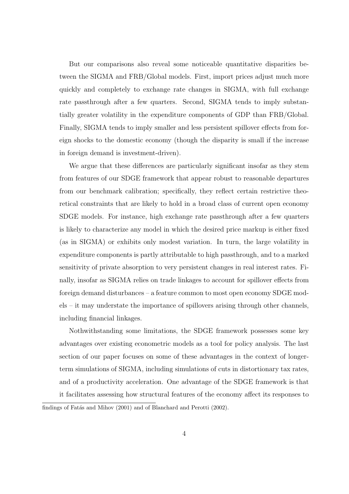But our comparisons also reveal some noticeable quantitative disparities between the SIGMA and FRB/Global models. First, import prices adjust much more quickly and completely to exchange rate changes in SIGMA, with full exchange rate passthrough after a few quarters. Second, SIGMA tends to imply substantially greater volatility in the expenditure components of GDP than FRB/Global. Finally, SIGMA tends to imply smaller and less persistent spillover effects from foreign shocks to the domestic economy (though the disparity is small if the increase in foreign demand is investment-driven).

We argue that these differences are particularly significant insofar as they stem from features of our SDGE framework that appear robust to reasonable departures from our benchmark calibration; specifically, they reflect certain restrictive theoretical constraints that are likely to hold in a broad class of current open economy SDGE models. For instance, high exchange rate passthrough after a few quarters is likely to characterize any model in which the desired price markup is either fixed (as in SIGMA) or exhibits only modest variation. In turn, the large volatility in expenditure components is partly attributable to high passthrough, and to a marked sensitivity of private absorption to very persistent changes in real interest rates. Finally, insofar as SIGMA relies on trade linkages to account for spillover effects from foreign demand disturbances – a feature common to most open economy SDGE models – it may understate the importance of spillovers arising through other channels, including financial linkages.

Nothwithstanding some limitations, the SDGE framework possesses some key advantages over existing econometric models as a tool for policy analysis. The last section of our paper focuses on some of these advantages in the context of longerterm simulations of SIGMA, including simulations of cuts in distortionary tax rates, and of a productivity acceleration. One advantage of the SDGE framework is that it facilitates assessing how structural features of the economy affect its responses to

findings of Fatás and Mihov (2001) and of Blanchard and Perotti (2002).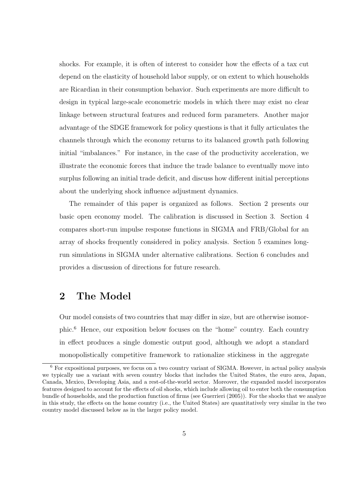shocks. For example, it is often of interest to consider how the effects of a tax cut depend on the elasticity of household labor supply, or on extent to which households are Ricardian in their consumption behavior. Such experiments are more difficult to design in typical large-scale econometric models in which there may exist no clear linkage between structural features and reduced form parameters. Another major advantage of the SDGE framework for policy questions is that it fully articulates the channels through which the economy returns to its balanced growth path following initial "imbalances." For instance, in the case of the productivity acceleration, we illustrate the economic forces that induce the trade balance to eventually move into surplus following an initial trade deficit, and discuss how different initial perceptions about the underlying shock influence adjustment dynamics.

The remainder of this paper is organized as follows. Section 2 presents our basic open economy model. The calibration is discussed in Section 3. Section 4 compares short-run impulse response functions in SIGMA and FRB/Global for an array of shocks frequently considered in policy analysis. Section 5 examines longrun simulations in SIGMA under alternative calibrations. Section 6 concludes and provides a discussion of directions for future research.

## 2 The Model

Our model consists of two countries that may differ in size, but are otherwise isomorphic.<sup>6</sup> Hence, our exposition below focuses on the "home" country. Each country in effect produces a single domestic output good, although we adopt a standard monopolistically competitive framework to rationalize stickiness in the aggregate

<sup>6</sup> For expositional purposes, we focus on a two country variant of SIGMA. However, in actual policy analysis we typically use a variant with seven country blocks that includes the United States, the euro area, Japan, Canada, Mexico, Developing Asia, and a rest-of-the-world sector. Moreover, the expanded model incorporates features designed to account for the effects of oil shocks, which include allowing oil to enter both the consumption bundle of households, and the production function of firms (see Guerrieri (2005)). For the shocks that we analyze in this study, the effects on the home country (i.e., the United States) are quantitatively very similar in the two country model discussed below as in the larger policy model.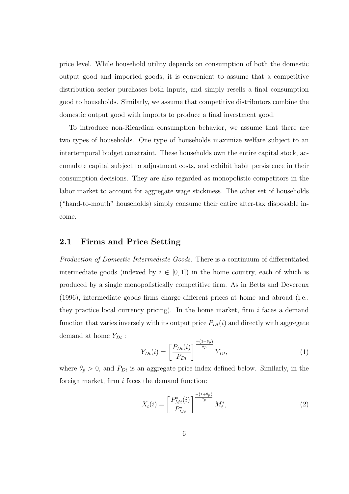price level. While household utility depends on consumption of both the domestic output good and imported goods, it is convenient to assume that a competitive distribution sector purchases both inputs, and simply resells a final consumption good to households. Similarly, we assume that competitive distributors combine the domestic output good with imports to produce a final investment good.

To introduce non-Ricardian consumption behavior, we assume that there are two types of households. One type of households maximize welfare subject to an intertemporal budget constraint. These households own the entire capital stock, accumulate capital subject to adjustment costs, and exhibit habit persistence in their consumption decisions. They are also regarded as monopolistic competitors in the labor market to account for aggregate wage stickiness. The other set of households ("hand-to-mouth" households) simply consume their entire after-tax disposable income.

#### 2.1 Firms and Price Setting

Production of Domestic Intermediate Goods. There is a continuum of differentiated intermediate goods (indexed by  $i \in [0,1]$ ) in the home country, each of which is produced by a single monopolistically competitive firm. As in Betts and Devereux (1996), intermediate goods firms charge different prices at home and abroad (i.e., they practice local currency pricing). In the home market, firm  $i$  faces a demand function that varies inversely with its output price  $P_{Dt}(i)$  and directly with aggregate demand at home  $Y_{Dt}$ :

$$
Y_{Dt}(i) = \left[\frac{P_{Dt}(i)}{P_{Dt}}\right]^{\frac{-(1+\theta_p)}{\theta_p}} Y_{Dt},\tag{1}
$$

where  $\theta_p > 0$ , and  $P_{Dt}$  is an aggregate price index defined below. Similarly, in the foreign market, firm  $i$  faces the demand function:

$$
X_t(i) = \left[\frac{P_{Mt}^*(i)}{P_{Mt}^*}\right]^{\frac{-(1+\theta_p)}{\theta_p}} M_t^*,
$$
\n(2)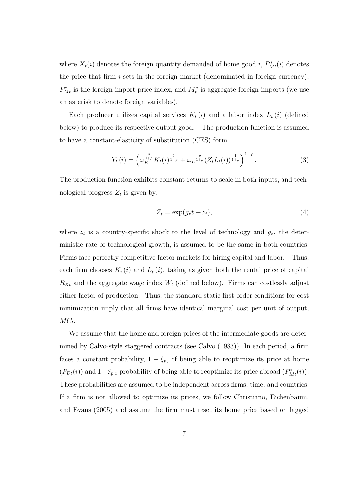where  $X_t(i)$  denotes the foreign quantity demanded of home good i,  $P_{Mt}^*(i)$  denotes the price that firm  $i$  sets in the foreign market (denominated in foreign currency),  $P_{Mt}^*$  is the foreign import price index, and  $M_t^*$  is aggregate foreign imports (we use an asterisk to denote foreign variables).

Each producer utilizes capital services  $K_t(i)$  and a labor index  $L_t(i)$  (defined below) to produce its respective output good. The production function is assumed to have a constant-elasticity of substitution (CES) form:

$$
Y_t(i) = \left(\omega_K^{\frac{\rho}{1+\rho}} K_t(i)^{\frac{1}{1+\rho}} + \omega_L^{\frac{\rho}{1+\rho}} (Z_t L_t(i))^{\frac{1}{1+\rho}}\right)^{1+\rho}.
$$
 (3)

The production function exhibits constant-returns-to-scale in both inputs, and technological progress  $Z_t$  is given by:

$$
Z_t = \exp(g_z t + z_t),\tag{4}
$$

where  $z_t$  is a country-specific shock to the level of technology and  $g_z$ , the deterministic rate of technological growth, is assumed to be the same in both countries. Firms face perfectly competitive factor markets for hiring capital and labor. Thus, each firm chooses  $K_t(i)$  and  $L_t(i)$ , taking as given both the rental price of capital  $R_{Kt}$  and the aggregate wage index  $W_t$  (defined below). Firms can costlessly adjust either factor of production. Thus, the standard static first-order conditions for cost minimization imply that all firms have identical marginal cost per unit of output,  $MC_t$ .

We assume that the home and foreign prices of the intermediate goods are determined by Calvo-style staggered contracts (see Calvo (1983)). In each period, a firm faces a constant probability,  $1 - \xi_p$ , of being able to reoptimize its price at home  $(P_{Dt}(i))$  and  $1-\xi_{p,x}$  probability of being able to reoptimize its price abroad  $(P_{Mt}^*(i))$ . These probabilities are assumed to be independent across firms, time, and countries. If a firm is not allowed to optimize its prices, we follow Christiano, Eichenbaum, and Evans (2005) and assume the firm must reset its home price based on lagged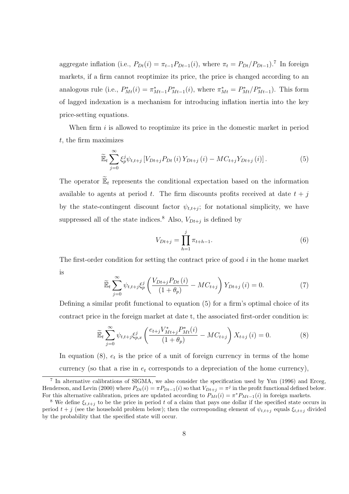aggregate inflation (i.e.,  $P_{Dt}(i) = \pi_{t-1} P_{Dt-1}(i)$ , where  $\pi_t = P_{Dt}/P_{Dt-1}$ ).<sup>7</sup> In foreign markets, if a firm cannot reoptimize its price, the price is changed according to an analogous rule (i.e.,  $P_{Mt}^*(i) = \pi_{Mt-1}^* P_{Mt-1}^*(i)$ , where  $\pi_{Mt}^* = P_{Mt}^*/P_{Mt-1}^*$ ). This form of lagged indexation is a mechanism for introducing inflation inertia into the key price-setting equations.

When firm  $i$  is allowed to responsibility price in the domestic market in period t, the firm maximizes

$$
\widetilde{\mathbb{E}}_{t} \sum_{j=0}^{\infty} \xi_{p}^{j} \psi_{t,t+j} \left[ V_{Dt+j} P_{Dt}(i) Y_{Dt+j}(i) - M C_{t+j} Y_{Dt+j}(i) \right]. \tag{5}
$$

The operator  $\widetilde{\mathbb{E}}_t$  represents the conditional expectation based on the information available to agents at period t. The firm discounts profits received at date  $t + j$ by the state-contingent discount factor  $\psi_{t,t+j}$ ; for notational simplicity, we have suppressed all of the state indices.<sup>8</sup> Also,  $V_{Dt+j}$  is defined by

$$
V_{Dt+j} = \prod_{h=1}^{j} \pi_{t+h-1}.
$$
\n(6)

The first-order condition for setting the contract price of good  $i$  in the home market is

$$
\widetilde{\mathbb{E}}_t \sum_{j=0}^{\infty} \psi_{t,t+j} \xi_p^j \left( \frac{V_{Dt+j} P_{Dt}(i)}{(1+\theta_p)} - MC_{t+j} \right) Y_{Dt+j}(i) = 0.
$$
\n<sup>(7)</sup>

Defining a similar profit functional to equation (5) for a firm's optimal choice of its contract price in the foreign market at date t, the associated first-order condition is:

$$
\widetilde{\mathbb{E}}_{t} \sum_{j=0}^{\infty} \psi_{t,t+j} \xi_{p,x}^{j} \left( \frac{e_{t+j} V_{Mt+j}^{*} P_{Mt}^{*}(i)}{(1+\theta_p)} - MC_{t+j} \right) X_{t+j} \left( i \right) = 0. \tag{8}
$$

In equation  $(8)$ ,  $e_t$  is the price of a unit of foreign currency in terms of the home currency (so that a rise in  $e_t$  corresponds to a depreciation of the home currency),

<sup>7</sup> In alternative calibrations of SIGMA, we also consider the specification used by Yun (1996) and Erceg, Henderson, and Levin (2000) where  $P_{Dt}(i) = \pi P_{Dt-1}(i)$  so that  $V_{Dt+j} = \pi^j$  in the profit functional defined below. For this alternative calibration, prices are updated according to  $P_{Mt}(i) = \pi^* P_{Mt-1}(i)$  in foreign markets.

<sup>&</sup>lt;sup>8</sup> We define  $\xi_{t,t+j}$  to be the price in period t of a claim that pays one dollar if the specified state occurs in period  $t + j$  (see the household problem below); then the corresponding element of  $\psi_{t,t+j}$  equals  $\xi_{t,t+j}$  divided by the probability that the specified state will occur.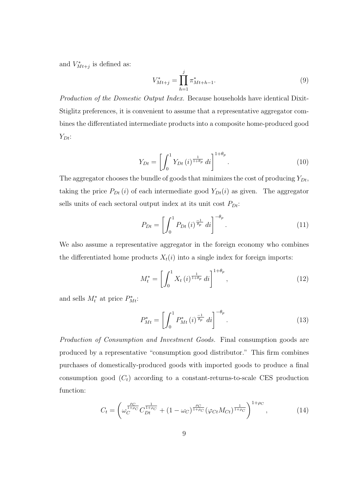and  $V_{Mt+j}^*$  is defined as:

$$
V_{Mt+j}^* = \prod_{h=1}^j \pi_{Mt+h-1}^*.
$$
\n(9)

Production of the Domestic Output Index. Because households have identical Dixit-Stiglitz preferences, it is convenient to assume that a representative aggregator combines the differentiated intermediate products into a composite home-produced good  $Y_{Dt}$ :

$$
Y_{Dt} = \left[ \int_0^1 Y_{Dt}(i)^{\frac{1}{1+\theta_p}} di \right]^{1+\theta_p}.
$$
 (10)

The aggregator chooses the bundle of goods that minimizes the cost of producing  $Y_{Dt}$ , taking the price  $P_{Dt}(i)$  of each intermediate good  $Y_{Dt}(i)$  as given. The aggregator sells units of each sectoral output index at its unit cost  $P_{Dt}$ :

$$
P_{Dt} = \left[ \int_0^1 P_{Dt} \left( i \right)^{\frac{-1}{\theta_p}} \, dt \right]^{-\theta_p} . \tag{11}
$$

We also assume a representative aggregator in the foreign economy who combines the differentiated home products  $X_t(i)$  into a single index for foreign imports:

$$
M_t^* = \left[ \int_0^1 X_t(i)^{\frac{1}{1+\theta_p}} di \right]^{1+\theta_p}, \tag{12}
$$

and sells  $M_t^*$  at price  $P_{Mt}^*$ :

$$
P_{Mt}^{*} = \left[ \int_{0}^{1} P_{Mt}^{*} (i)^{\frac{-1}{\theta_p}} di \right]^{-\theta_p} . \tag{13}
$$

Production of Consumption and Investment Goods. Final consumption goods are produced by a representative "consumption good distributor." This firm combines purchases of domestically-produced goods with imported goods to produce a final consumption good  $(C_t)$  according to a constant-returns-to-scale CES production function:

$$
C_t = \left(\omega_C^{\frac{\rho_C}{1+\rho_C}} C_{Dt}^{\frac{1}{1+\rho_C}} + (1-\omega_C)^{\frac{\rho_C}{1+\rho_C}} (\varphi_{Ct} M_{Ct})^{\frac{1}{1+\rho_C}}\right)^{1+\rho_C},\tag{14}
$$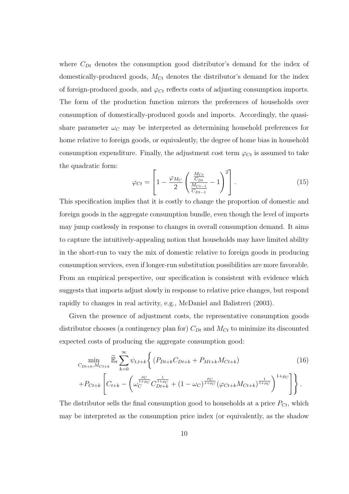where  $C_{Dt}$  denotes the consumption good distributor's demand for the index of domestically-produced goods,  $M_{C_t}$  denotes the distributor's demand for the index of foreign-produced goods, and  $\varphi_{C_t}$  reflects costs of adjusting consumption imports. The form of the production function mirrors the preferences of households over consumption of domestically-produced goods and imports. Accordingly, the quasishare parameter  $\omega_c$  may be interpreted as determining household preferences for home relative to foreign goods, or equivalently, the degree of home bias in household consumption expenditure. Finally, the adjustment cost term  $\varphi_{C_t}$  is assumed to take the quadratic form:  $\overline{a}$  $\overline{a}$ 

$$
\varphi_{Ct} = \left[1 - \frac{\varphi_{M_C}}{2} \left(\frac{\frac{M_{Ct}}{C_{Dt}}}{\frac{M_{Ct-1}}{C_{Dt-1}}} - 1\right)^2\right].
$$
\n(15)

This specification implies that it is costly to change the proportion of domestic and foreign goods in the aggregate consumption bundle, even though the level of imports may jump costlessly in response to changes in overall consumption demand. It aims to capture the intuitively-appealing notion that households may have limited ability in the short-run to vary the mix of domestic relative to foreign goods in producing consumption services, even if longer-run substitution possibilities are more favorable. From an empirical perspective, our specification is consistent with evidence which suggests that imports adjust slowly in response to relative price changes, but respond rapidly to changes in real activity, e.g., McDaniel and Balistreri (2003).

Given the presence of adjustment costs, the representative consumption goods distributor chooses (a contingency plan for)  $C_{Dt}$  and  $M_{Ct}$  to minimize its discounted expected costs of producing the aggregate consumption good:

$$
\min_{C_{Dt+k}, M_{Ct+k}} \tilde{\mathbb{E}}_t \sum_{k=0}^{\infty} \psi_{t,t+k} \Big\{ \left( P_{Dt+k} C_{Dt+k} + P_{Mt+k} M_{Ct+k} \right) \tag{16}
$$
\n
$$
+ P_{Ct+k} \left[ C_{t+k} - \left( \omega_C^{\frac{\rho_C}{1+\rho_C}} C_{Dt+k}^{\frac{1}{1+\rho_C}} + (1 - \omega_C)^{\frac{\rho_C}{1+\rho_C}} (\varphi_{Ct+k} M_{Ct+k})^{\frac{1}{1+\rho_C}} \right)^{1+\rho_C} \Big] \Big\}.
$$

The distributor sells the final consumption good to households at a price  $P_{C_t}$ , which may be interpreted as the consumption price index (or equivalently, as the shadow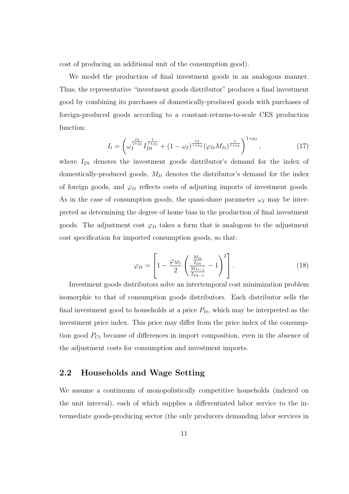cost of producing an additional unit of the consumption good).

We model the production of final investment goods in an analogous manner. Thus, the representative "investment goods distributor" produces a final investment good by combining its purchases of domestically-produced goods with purchases of foreign-produced goods according to a constant-returns-to-scale CES production function:

$$
I_t = \left(\omega_I^{\frac{\rho_I}{1+\rho_I}} I_{Dt}^{\frac{1}{1+\rho_I}} + (1-\omega_I)^{\frac{\rho_I}{1+\rho_I}} (\varphi_{It} M_{It})^{\frac{1}{1+\rho_I}}\right)^{1+\rho_I},\tag{17}
$$

where  $I_{Dt}$  denotes the investment goods distributor's demand for the index of domestically-produced goods,  $M_{It}$  denotes the distributor's demand for the index of foreign goods, and  $\varphi_{It}$  reflects costs of adjusting imports of investment goods. As in the case of consumption goods, the quasi-share parameter  $\omega_I$  may be interpreted as determining the degree of home bias in the production of final investment goods. The adjustment cost  $\varphi_{It}$  takes a form that is analogous to the adjustment cost specification for imported consumption goods, so that:

$$
\varphi_{It} = \left[1 - \frac{\varphi_{M_I}}{2} \left(\frac{\frac{M_{It}}{I_{Dt}}}{\frac{M_{It-1}}{I_{Dt-1}}} - 1\right)^2\right].
$$
 (18)

Investment goods distributors solve an intertemporal cost minimization problem isomorphic to that of consumption goods distributors. Each distributor sells the final investment good to households at a price  $P_{It}$ , which may be interpreted as the investment price index. This price may differ from the price index of the consumption good  $P_{C_t}$  because of differences in import composition, even in the absence of the adjustment costs for consumption and investment imports.

#### 2.2 Households and Wage Setting

We assume a continuum of monopolistically competitive households (indexed on the unit interval), each of which supplies a differentiated labor service to the intermediate goods-producing sector (the only producers demanding labor services in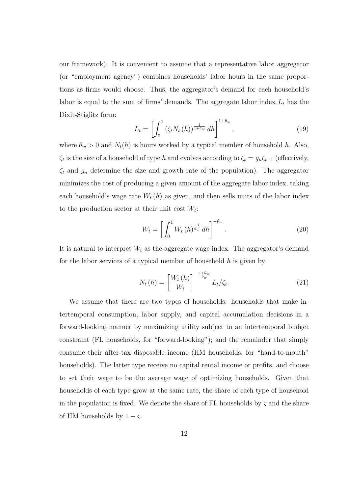our framework). It is convenient to assume that a representative labor aggregator (or "employment agency") combines households' labor hours in the same proportions as firms would choose. Thus, the aggregator's demand for each household's labor is equal to the sum of firms' demands. The aggregate labor index  $L_t$  has the Dixit-Stiglitz form:

$$
L_t = \left[ \int_0^1 \left( \zeta_t N_t(h) \right)^{\frac{1}{1+\theta_w}} dh \right]^{1+\theta_w}, \tag{19}
$$

where  $\theta_w > 0$  and  $N_t(h)$  is hours worked by a typical member of household h. Also,  $\zeta_t$  is the size of a household of type h and evolves according to  $\zeta_t = g_n \zeta_{t-1}$  (effectively,  $\zeta_t$  and  $g_n$  determine the size and growth rate of the population). The aggregator minimizes the cost of producing a given amount of the aggregate labor index, taking each household's wage rate  $W_t(h)$  as given, and then sells units of the labor index to the production sector at their unit cost  $W_t$ :

$$
W_t = \left[ \int_0^1 W_t(h)^{\frac{-1}{\theta_w}} dh \right]^{-\theta_w}.
$$
\n(20)

It is natural to interpret  $W_t$  as the aggregate wage index. The aggregator's demand for the labor services of a typical member of household  $h$  is given by

$$
N_t(h) = \left[\frac{W_t(h)}{W_t}\right]^{-\frac{1+\theta_w}{\theta_w}} L_t/\zeta_t.
$$
\n(21)

We assume that there are two types of households: households that make intertemporal consumption, labor supply, and capital accumulation decisions in a forward-looking manner by maximizing utility subject to an intertemporal budget constraint (FL households, for "forward-looking"); and the remainder that simply consume their after-tax disposable income (HM households, for "hand-to-mouth" households). The latter type receive no capital rental income or profits, and choose to set their wage to be the average wage of optimizing households. Given that households of each type grow at the same rate, the share of each type of household in the population is fixed. We denote the share of FL households by  $\varsigma$  and the share of HM households by  $1 - \varsigma$ .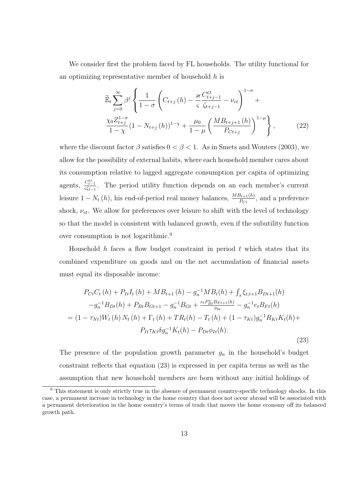We consider first the problem faced by FL households. The utility functional for an optimizing representative member of household  $h$  is

$$
\widetilde{\mathbb{E}}_{t} \sum_{j=0}^{\infty} \beta^{j} \left\{ \frac{1}{1-\sigma} \left( C_{t+j} \left( h \right) - \frac{\varkappa}{\varsigma} \frac{C_{t+j-1}^{O}}{\zeta_{t+j-1}} - \nu_{ct} \right)^{1-\sigma} + \frac{\chi_{0} Z_{t+j}^{1-\sigma}}{1-\chi} \left( 1 - N_{t+j} \left( h \right) \right)^{1-\chi} + \frac{\mu_{0}}{1-\mu} \left( \frac{M B_{t+j+1} \left( h \right)}{P_{C t+j}} \right)^{1-\mu} \right\}, \tag{22}
$$

where the discount factor  $\beta$  satisfies  $0 < \beta < 1$ . As in Smets and Wouters (2003), we allow for the possibility of external habits, where each household member cares about its consumption relative to lagged aggregate consumption per capita of optimizing agents,  $\frac{C_{t-1}^O}{\varsigma \zeta_{t-1}}$ . The period utility function depends on an each member's current leisure  $1 - N_t(h)$ , his end-of-period real money balances,  $\frac{MB_{t+1}(h)}{P_{C_t}}$ , and a preference shock,  $\nu_{ct}$ . We allow for preferences over leisure to shift with the level of technology so that the model is consistent with balanced growth, even if the subutility function over consumption is not logarithmic.<sup>9</sup>

Household h faces a flow budget constraint in period  $t$  which states that its combined expenditure on goods and on the net accumulation of financial assets must equal its disposable income:

$$
P_{Ct}C_{t}(h) + P_{It}I_{t}(h) + MB_{t+1}(h) - g_{n}^{-1}MB_{t}(h) + \int_{s} \xi_{t,t+1}B_{Dt+1}(h) -g_{n}^{-1}B_{Dt}(h) + P_{Bt}B_{Gt+1} - g_{n}^{-1}B_{Gt} + \frac{e_{t}P_{Bt}^{*}B_{Ft+1}(h)}{\phi_{bt}} - g_{n}^{-1}e_{t}B_{Ft}(h) = (1 - \tau_{Nt})W_{t}(h) N_{t}(h) + \Gamma_{t}(h) + TR_{t}(h) - T_{t}(h) + (1 - \tau_{Kt})g_{n}^{-1}R_{Kt}K_{t}(h) + P_{It}\tau_{Kt}\delta g_{n}^{-1}K_{t}(h) - P_{Dt}\phi_{It}(h).
$$
\n(23)

The presence of the population growth parameter  $g_n$  in the household's budget constraint reflects that equation (23) is expressed in per capita terms as well as the assumption that new household members are born without any initial holdings of

<sup>&</sup>lt;sup>9</sup> This statement is only strictly true in the absence of permanent country-specific technology shocks. In this case, a permanent increase in technology in the home country that does not occur abroad will be associated with a permanent deterioration in the home country's terms of trade that moves the home economy off its balanced growth path.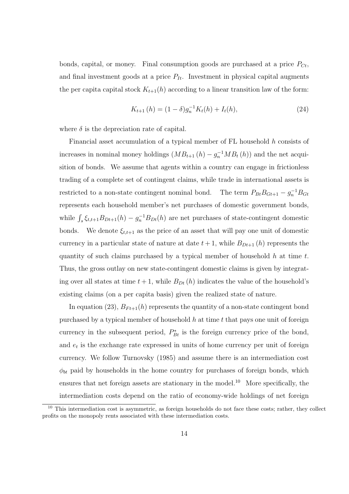bonds, capital, or money. Final consumption goods are purchased at a price  $P_{C_t}$ , and final investment goods at a price  $P_{It}$ . Investment in physical capital augments the per capital stock  $K_{t+1}(h)$  according to a linear transition law of the form:

$$
K_{t+1}(h) = (1 - \delta)g_n^{-1}K_t(h) + I_t(h),
$$
\n(24)

where  $\delta$  is the depreciation rate of capital.

Financial asset accumulation of a typical member of FL household h consists of increases in nominal money holdings  $(MB_{t+1}(h) - g_n^{-1}MB_t(h))$  and the net acquisition of bonds. We assume that agents within a country can engage in frictionless trading of a complete set of contingent claims, while trade in international assets is restricted to a non-state contingent nominal bond. The term  $P_{Bt}B_{Gt+1} - g_n^{-1}B_{Gt}$ represents each household member's net purchases of domestic government bonds, while  $\int_s \xi_{t,t+1} B_{Dt+1}(h) - g_n^{-1} B_{Dt}(h)$  are net purchases of state-contingent domestic bonds. We denote  $\xi_{t,t+1}$  as the price of an asset that will pay one unit of domestic currency in a particular state of nature at date  $t + 1$ , while  $B_{Dt+1}(h)$  represents the quantity of such claims purchased by a typical member of household  $h$  at time  $t$ . Thus, the gross outlay on new state-contingent domestic claims is given by integrating over all states at time  $t + 1$ , while  $B_{Dt}(h)$  indicates the value of the household's existing claims (on a per capita basis) given the realized state of nature.

In equation (23),  $B_{Ft+1}(h)$  represents the quantity of a non-state contingent bond purchased by a typical member of household  $h$  at time  $t$  that pays one unit of foreign currency in the subsequent period,  $P_{Bt}^*$  is the foreign currency price of the bond, and  $e_t$  is the exchange rate expressed in units of home currency per unit of foreign currency. We follow Turnovsky (1985) and assume there is an intermediation cost  $\phi_{bt}$  paid by households in the home country for purchases of foreign bonds, which ensures that net foreign assets are stationary in the model.<sup>10</sup> More specifically, the intermediation costs depend on the ratio of economy-wide holdings of net foreign

<sup>&</sup>lt;sup>10</sup> This intermediation cost is asymmetric, as foreign households do not face these costs; rather, they collect profits on the monopoly rents associated with these intermediation costs.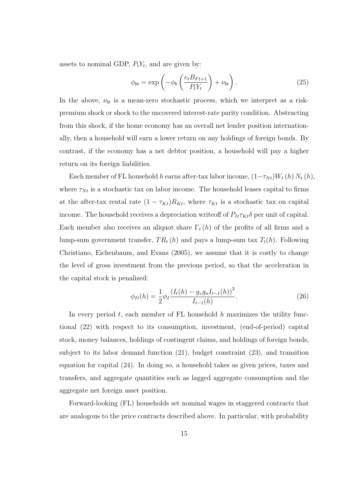assets to nominal GDP,  $P_t Y_t$ , and are given by:

$$
\phi_{bt} = \exp\left(-\phi_b \left(\frac{e_t B_{Ft+1}}{P_t Y_t}\right) + \nu_{bt}\right). \tag{25}
$$

In the above,  $\nu_{bt}$  is a mean-zero stochastic process, which we interpret as a riskpremium shock or shock to the uncovered interest-rate parity condition. Abstracting from this shock, if the home economy has an overall net lender position internationally, then a household will earn a lower return on any holdings of foreign bonds. By contrast, if the economy has a net debtor position, a household will pay a higher return on its foreign liabilities.

Each member of FL household h earns after-tax labor income,  $(1-\tau_{Nt})W_t(h) N_t(h)$ , where  $\tau_{Nt}$  is a stochastic tax on labor income. The household leases capital to firms at the after-tax rental rate  $(1 - \tau_{Kt})R_{Kt}$ , where  $\tau_{Kt}$  is a stochastic tax on capital income. The household receives a depreciation writeoff of  $P_{It} \tau_{Kt} \delta$  per unit of capital. Each member also receives an aliquot share  $\Gamma_t(h)$  of the profits of all firms and a lump-sum government transfer,  $TR_t(h)$  and pays a lump-sum tax  $T_t(h)$ . Following Christiano, Eichenbaum, and Evans (2005), we assume that it is costly to change the level of gross investment from the previous period, so that the acceleration in the capital stock is penalized:

$$
\phi_{It}(h) = \frac{1}{2}\phi_I \frac{(I_t(h) - g_z g_n I_{t-1}(h))^2}{I_{t-1}(h)}.
$$
\n(26)

In every period  $t$ , each member of FL household  $h$  maximizes the utility functional (22) with respect to its consumption, investment, (end-of-period) capital stock, money balances, holdings of contingent claims, and holdings of foreign bonds, subject to its labor demand function (21), budget constraint (23), and transition equation for capital (24). In doing so, a household takes as given prices, taxes and transfers, and aggregate quantities such as lagged aggregate consumption and the aggregate net foreign asset position.

Forward-looking (FL) households set nominal wages in staggered contracts that are analogous to the price contracts described above. In particular, with probability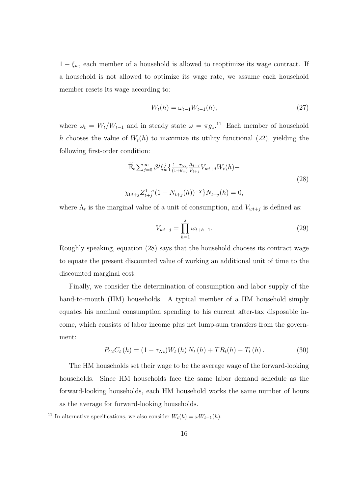$1 - \xi_w$ , each member of a household is allowed to reoptimize its wage contract. If a household is not allowed to optimize its wage rate, we assume each household member resets its wage according to:

$$
W_t(h) = \omega_{t-1} W_{t-1}(h),
$$
\n(27)

where  $\omega_t = W_t/W_{t-1}$  and in steady state  $\omega = \pi g_z$ .<sup>11</sup> Each member of household h chooses the value of  $W_t(h)$  to maximize its utility functional (22), yielding the following first-order condition:

$$
\widetilde{\mathbb{E}}_t \sum_{j=0}^{\infty} \beta^j \xi_w^j \left\{ \frac{1 - \tau_{Nt}}{(1 + \theta_w)} \frac{\Lambda_{t+j}}{P_{t+j}} V_{wt+j} W_t(h) - \right\}
$$
\n
$$
\chi_{0t+j} Z_{t+j}^{1-\sigma} (1 - N_{t+j}(h))^{-\chi} \right\} N_{t+j}(h) = 0,
$$
\n(28)

where  $\Lambda_t$  is the marginal value of a unit of consumption, and  $V_{wt+j}$  is defined as:

$$
V_{wt+j} = \prod_{h=1}^{j} \omega_{t+h-1}.
$$
\n(29)

Roughly speaking, equation (28) says that the household chooses its contract wage to equate the present discounted value of working an additional unit of time to the discounted marginal cost.

Finally, we consider the determination of consumption and labor supply of the hand-to-mouth (HM) households. A typical member of a HM household simply equates his nominal consumption spending to his current after-tax disposable income, which consists of labor income plus net lump-sum transfers from the government:

$$
P_{Ct}C_t(h) = (1 - \tau_{Nt})W_t(h) N_t(h) + TR_t(h) - T_t(h).
$$
 (30)

The HM households set their wage to be the average wage of the forward-looking households. Since HM households face the same labor demand schedule as the forward-looking households, each HM household works the same number of hours as the average for forward-looking households.

<sup>&</sup>lt;sup>11</sup> In alternative specifications, we also consider  $W_t(h) = \omega W_{t-1}(h)$ .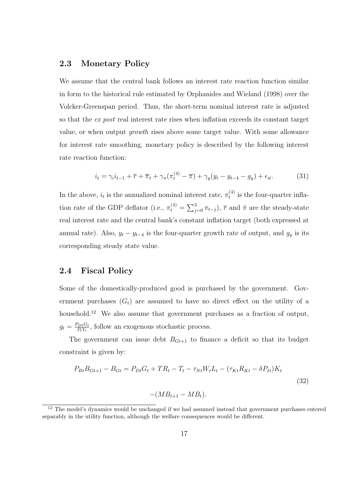#### 2.3 Monetary Policy

We assume that the central bank follows an interest rate reaction function similar in form to the historical rule estimated by Orphanides and Wieland (1998) over the Volcker-Greenspan period. Thus, the short-term nominal interest rate is adjusted so that the *ex post* real interest rate rises when inflation exceeds its constant target value, or when output growth rises above some target value. With some allowance for interest rate smoothing, monetary policy is described by the following interest rate reaction function:

$$
i_t = \gamma_i i_{t-1} + \overline{r} + \overline{\pi}_t + \gamma_\pi (\pi_t^{(4)} - \overline{\pi}) + \gamma_y (y_t - y_{t-4} - g_y) + \epsilon_{it}.
$$
 (31)

In the above,  $i_t$  is the annualized nominal interest rate,  $\pi_t^{(4)}$  $t_t^{(4)}$  is the four-quarter inflation rate of the GDP deflator (i.e.,  $\pi_t^{(4)}$  =  $\overline{\phantom{0}}$  $j_{j=0}^{3} \pi_{t-j}$ ,  $\bar{r}$  and  $\bar{\pi}$  are the steady-state real interest rate and the central bank's constant inflation target (both expressed at annual rate). Also,  $y_t - y_{t-4}$  is the four-quarter growth rate of output, and  $g_y$  is its corresponding steady state value.

#### 2.4 Fiscal Policy

Some of the domestically-produced good is purchased by the government. Government purchases  $(G_t)$  are assumed to have no direct effect on the utility of a household.<sup>12</sup> We also assume that government purchases as a fraction of output,  $g_t = \frac{P_{Dt}G_t}{P_tY_t}$  $\frac{\gamma_{Dt}G_t}{P_tY_t}$ , follow an exogenous stochastic process.

The government can issue debt  $B_{Gt+1}$  to finance a deficit so that its budget constraint is given by:

$$
P_{Bt}B_{Gt+1} - B_{Gt} = P_{Dt}G_t + TR_t - T_t - \tau_{Nt}W_tL_t - (\tau_{Kt}R_{Kt} - \delta P_{It})K_t
$$
  

$$
-(MB_{t+1} - MB_t).
$$
 (32)

<sup>&</sup>lt;sup>12</sup> The model's dynamics would be unchanged if we had assumed instead that government purchases entered separably in the utility function, although the welfare consequences would be different.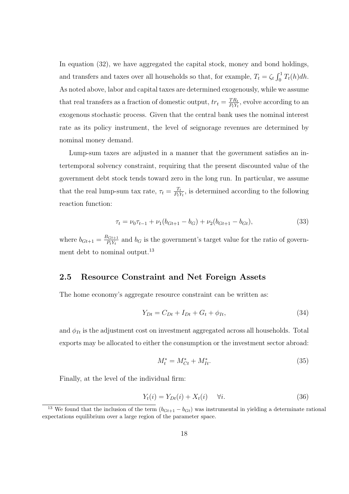In equation (32), we have aggregated the capital stock, money and bond holdings, and transfers and taxes over all households so that, for example,  $T_t = \zeta_t$  $r<sup>1</sup>$  $\int_{0}^{1} T_{t}(h) dh.$ As noted above, labor and capital taxes are determined exogenously, while we assume that real transfers as a fraction of domestic output,  $tr_t = \frac{TR_t}{PX_t}$  $\frac{TR_t}{P_tY_t}$ , evolve according to an exogenous stochastic process. Given that the central bank uses the nominal interest rate as its policy instrument, the level of seignorage revenues are determined by nominal money demand.

Lump-sum taxes are adjusted in a manner that the government satisfies an intertemporal solvency constraint, requiring that the present discounted value of the government debt stock tends toward zero in the long run. In particular, we assume that the real lump-sum tax rate,  $\tau_t = \frac{T_t}{P_t}$  $\frac{T_t}{P_t Y_t}$ , is determined according to the following reaction function:

$$
\tau_t = \nu_0 \tau_{t-1} + \nu_1 (b_{Gt+1} - b_G) + \nu_2 (b_{Gt+1} - b_{Gt}), \tag{33}
$$

where  $b_{Gt+1} = \frac{B_{Gt+1}}{P_t V_t}$  $\frac{P_{Gt+1}}{P_tY_t}$  and  $b_G$  is the government's target value for the ratio of government debt to nominal output.<sup>13</sup>

#### 2.5 Resource Constraint and Net Foreign Assets

The home economy's aggregate resource constraint can be written as:

$$
Y_{Dt} = C_{Dt} + I_{Dt} + G_t + \phi_{It},
$$
\n(34)

and  $\phi_{It}$  is the adjustment cost on investment aggregated across all households. Total exports may be allocated to either the consumption or the investment sector abroad:

$$
M_t^* = M_{Ct}^* + M_{It}^*.
$$
\n(35)

Finally, at the level of the individual firm:

$$
Y_t(i) = Y_{Dt}(i) + X_t(i) \quad \forall i.
$$
\n(36)

<sup>&</sup>lt;sup>13</sup> We found that the inclusion of the term  $(b_{Gt+1} - b_{Gt})$  was instrumental in yielding a determinate rational expectations equilibrium over a large region of the parameter space.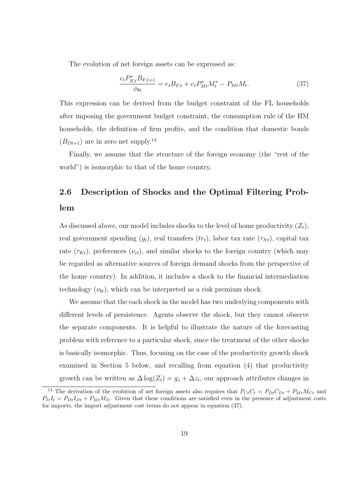The evolution of net foreign assets can be expressed as:

$$
\frac{e_t P_{B,t}^* B_{F,t+1}}{\phi_{bt}} = e_t B_{F,t} + e_t P_{Mt}^* M_t^* - P_{Mt} M_t.
$$
\n(37)

This expression can be derived from the budget constraint of the FL households after imposing the government budget constraint, the consumption rule of the HM households, the definition of firm profits, and the condition that domestic bonds  $(B_{Dt+1})$  are in zero net supply.<sup>14</sup>

Finally, we assume that the structure of the foreign economy (the "rest of the world") is isomorphic to that of the home country.

# 2.6 Description of Shocks and the Optimal Filtering Problem

As discussed above, our model includes shocks to the level of home productivity  $(Z_t)$ , real government spending  $(g_t)$ , real transfers  $(tr_t)$ , labor tax rate  $(\tau_{N_t})$ , capital tax rate  $(\tau_{Kt})$ , preferences  $(\nu_{ct})$ , and similar shocks to the foreign country (which may be regarded as alternative sources of foreign demand shocks from the perspective of the home country). In addition, it includes a shock to the financial intermediation technology  $(\nu_{bt})$ , which can be interpreted as a risk premium shock.

We assume that the each shock in the model has two underlying components with different levels of persistence. Agents observe the shock, but they cannot observe the separate components. It is helpful to illustrate the nature of the forecasting problem with reference to a particular shock, since the treatment of the other shocks is basically isomorphic. Thus, focusing on the case of the productivity growth shock examined in Section 5 below, and recalling from equation (4) that productivity growth can be written as  $\Delta \log(Z_t) = g_z + \Delta z_t$ , our approach attributes changes in

<sup>&</sup>lt;sup>14</sup> The derivation of the evolution of net foreign assets also requires that  $P_{Ct}C_t = P_{Dt}C_{Dt} + P_{Mt}M_{Ct}$  and  $P_{It}I_t = P_{Dt}I_{Dt} + P_{Mt}M_{It}$ . Given that these conditions are satisfied even in the presence of adjustment costs for imports, the import adjustment cost terms do not appear in equation (37).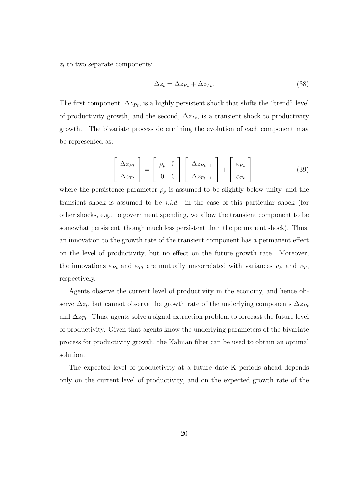$z_t$  to two separate components:

$$
\Delta z_t = \Delta z_{Pt} + \Delta z_{Tt}.\tag{38}
$$

The first component,  $\Delta z_{Pt}$ , is a highly persistent shock that shifts the "trend" level of productivity growth, and the second,  $\Delta z_{T_t}$ , is a transient shock to productivity growth. The bivariate process determining the evolution of each component may be represented as:

$$
\left[\begin{array}{c}\Delta z_{Pt} \\ \Delta z_{Tt}\end{array}\right] = \left[\begin{array}{cc}\rho_p & 0 \\ 0 & 0\end{array}\right] \left[\begin{array}{c}\Delta z_{Pt-1} \\ \Delta z_{Tt-1}\end{array}\right] + \left[\begin{array}{c}\varepsilon_{Pt} \\ \varepsilon_{Tt}\end{array}\right],\tag{39}
$$

where the persistence parameter  $\rho_p$  is assumed to be slightly below unity, and the transient shock is assumed to be *i.i.d.* in the case of this particular shock (for other shocks, e.g., to government spending, we allow the transient component to be somewhat persistent, though much less persistent than the permanent shock). Thus, an innovation to the growth rate of the transient component has a permanent effect on the level of productivity, but no effect on the future growth rate. Moreover, the innovations  $\varepsilon_{Pt}$  and  $\varepsilon_{Tt}$  are mutually uncorrelated with variances  $v_P$  and  $v_T$ , respectively.

Agents observe the current level of productivity in the economy, and hence observe  $\Delta z_t$ , but cannot observe the growth rate of the underlying components  $\Delta z_{Pt}$ and  $\Delta z_{T_t}$ . Thus, agents solve a signal extraction problem to forecast the future level of productivity. Given that agents know the underlying parameters of the bivariate process for productivity growth, the Kalman filter can be used to obtain an optimal solution.

The expected level of productivity at a future date K periods ahead depends only on the current level of productivity, and on the expected growth rate of the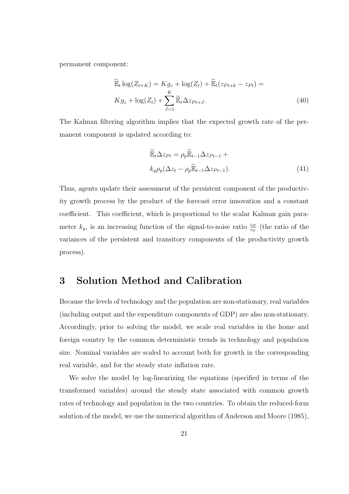permanent component:

$$
\widetilde{\mathbb{E}}_t \log(Z_{t+K}) = K g_z + \log(Z_t) + \widetilde{\mathbb{E}}_t (z_{Pt+k} - z_{Pt}) =
$$
\n
$$
K g_z + \log(Z_t) + \sum_{J=1}^K \widetilde{\mathbb{E}}_t \Delta z_{Pt+J}.
$$
\n(40)

The Kalman filtering algorithm implies that the expected growth rate of the permanent component is updated according to:

$$
\widetilde{\mathbb{E}}_t \Delta z_{Pt} = \rho_p \widetilde{\mathbb{E}}_{t-1} \Delta z_{Pt-1} +
$$
\n
$$
k_g \rho_p (\Delta z_t - \rho_p \widetilde{\mathbb{E}}_{t-1} \Delta z_{Pt-1}).
$$
\n(41)

Thus, agents update their assessment of the persistent component of the productivity growth process by the product of the forecast error innovation and a constant coefficient. This coefficient, which is proportional to the scalar Kalman gain parameter  $k_g$ , is an increasing function of the signal-to-noise ratio  $\frac{v_P}{v_T}$  (the ratio of the variances of the persistent and transitory components of the productivity growth process).

### 3 Solution Method and Calibration

Because the levels of technology and the population are non-stationary, real variables (including output and the expenditure components of GDP) are also non-stationary. Accordingly, prior to solving the model, we scale real variables in the home and foreign country by the common deterministic trends in technology and population size. Nominal variables are scaled to account both for growth in the corresponding real variable, and for the steady state inflation rate.

We solve the model by log-linearizing the equations (specified in terms of the transformed variables) around the steady state associated with common growth rates of technology and population in the two countries. To obtain the reduced-form solution of the model, we use the numerical algorithm of Anderson and Moore (1985),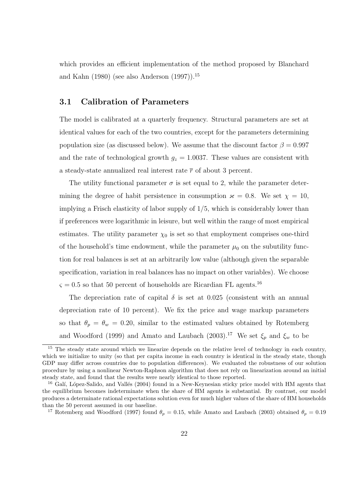which provides an efficient implementation of the method proposed by Blanchard and Kahn (1980) (see also Anderson  $(1997)$ ).<sup>15</sup>

#### 3.1 Calibration of Parameters

The model is calibrated at a quarterly frequency. Structural parameters are set at identical values for each of the two countries, except for the parameters determining population size (as discussed below). We assume that the discount factor  $\beta = 0.997$ and the rate of technological growth  $g_z = 1.0037$ . These values are consistent with a steady-state annualized real interest rate  $\bar{r}$  of about 3 percent.

The utility functional parameter  $\sigma$  is set equal to 2, while the parameter determining the degree of habit persistence in consumption  $\varkappa = 0.8$ . We set  $\chi = 10$ , implying a Frisch elasticity of labor supply of 1/5, which is considerably lower than if preferences were logarithmic in leisure, but well within the range of most empirical estimates. The utility parameter  $\chi_0$  is set so that employment comprises one-third of the household's time endowment, while the parameter  $\mu_0$  on the subutility function for real balances is set at an arbitrarily low value (although given the separable specification, variation in real balances has no impact on other variables). We choose  $\varsigma = 0.5$  so that 50 percent of households are Ricardian FL agents.<sup>16</sup>

The depreciation rate of capital  $\delta$  is set at 0.025 (consistent with an annual depreciation rate of 10 percent). We fix the price and wage markup parameters so that  $\theta_p = \theta_w = 0.20$ , similar to the estimated values obtained by Rotemberg and Woodford (1999) and Amato and Laubach (2003).<sup>17</sup> We set  $\xi_p$  and  $\xi_w$  to be

<sup>&</sup>lt;sup>15</sup> The steady state around which we linearize depends on the relative level of technology in each country, which we initialize to unity (so that per capita income in each country is identical in the steady state, though GDP may differ across countries due to population differences). We evaluated the robustness of our solution procedure by using a nonlinear Newton-Raphson algorithm that does not rely on linearization around an initial steady state, and found that the results were nearly identical to those reported.

 $16$  Galí, López-Salido, and Vallés (2004) found in a New-Keynesian sticky price model with HM agents that the equilibrium becomes indeterminate when the share of HM agents is substantial. By contrast, our model produces a determinate rational expectations solution even for much higher values of the share of HM households than the 50 percent assumed in our baseline.

<sup>&</sup>lt;sup>17</sup> Rotemberg and Woodford (1997) found  $\theta_p = 0.15$ , while Amato and Laubach (2003) obtained  $\theta_p = 0.19$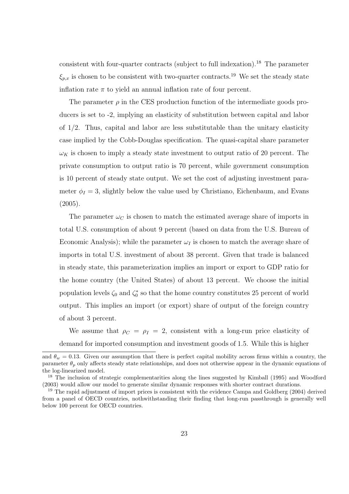consistent with four-quarter contracts (subject to full indexation).<sup>18</sup> The parameter  $\xi_{p,x}$  is chosen to be consistent with two-quarter contracts.<sup>19</sup> We set the steady state inflation rate  $\pi$  to yield an annual inflation rate of four percent.

The parameter  $\rho$  in the CES production function of the intermediate goods producers is set to -2, implying an elasticity of substitution between capital and labor of  $1/2$ . Thus, capital and labor are less substitutable than the unitary elasticity case implied by the Cobb-Douglas specification. The quasi-capital share parameter  $\omega_K$  is chosen to imply a steady state investment to output ratio of 20 percent. The private consumption to output ratio is 70 percent, while government consumption is 10 percent of steady state output. We set the cost of adjusting investment parameter  $\phi_I = 3$ , slightly below the value used by Christiano, Eichenbaum, and Evans  $(2005).$ 

The parameter  $\omega_C$  is chosen to match the estimated average share of imports in total U.S. consumption of about 9 percent (based on data from the U.S. Bureau of Economic Analysis); while the parameter  $\omega_I$  is chosen to match the average share of imports in total U.S. investment of about 38 percent. Given that trade is balanced in steady state, this parameterization implies an import or export to GDP ratio for the home country (the United States) of about 13 percent. We choose the initial population levels  $\zeta_0$  and  $\zeta_0^*$  so that the home country constitutes 25 percent of world output. This implies an import (or export) share of output of the foreign country of about 3 percent.

We assume that  $\rho_C = \rho_I = 2$ , consistent with a long-run price elasticity of demand for imported consumption and investment goods of 1.5. While this is higher

and  $\theta_w = 0.13$ . Given our assumption that there is perfect capital mobility across firms within a country, the parameter  $\theta_p$  only affects steady state relationships, and does not otherwise appear in the dynamic equations of the log-linearized model.

<sup>&</sup>lt;sup>18</sup> The inclusion of strategic complementarities along the lines suggested by Kimball (1995) and Woodford (2003) would allow our model to generate similar dynamic responses with shorter contract durations.

<sup>&</sup>lt;sup>19</sup> The rapid adjustment of import prices is consistent with the evidence Campa and Goldberg (2004) derived from a panel of OECD countries, nothwithstanding their finding that long-run passthrough is generally well below 100 percent for OECD countries.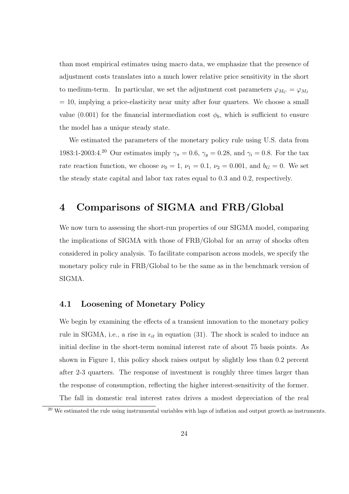than most empirical estimates using macro data, we emphasize that the presence of adjustment costs translates into a much lower relative price sensitivity in the short to medium-term. In particular, we set the adjustment cost parameters  $\varphi_{M_C} = \varphi_{M_I}$  $= 10$ , implying a price-elasticity near unity after four quarters. We choose a small value (0.001) for the financial intermediation cost  $\phi_b$ , which is sufficient to ensure the model has a unique steady state.

We estimated the parameters of the monetary policy rule using U.S. data from 1983:1-2003:4.<sup>20</sup> Our estimates imply  $\gamma_{\pi} = 0.6$ ,  $\gamma_{y} = 0.28$ , and  $\gamma_{i} = 0.8$ . For the tax rate reaction function, we choose  $\nu_0 = 1$ ,  $\nu_1 = 0.1$ ,  $\nu_2 = 0.001$ , and  $b_G = 0$ . We set the steady state capital and labor tax rates equal to 0.3 and 0.2, respectively.

### 4 Comparisons of SIGMA and FRB/Global

We now turn to assessing the short-run properties of our SIGMA model, comparing the implications of SIGMA with those of FRB/Global for an array of shocks often considered in policy analysis. To facilitate comparison across models, we specify the monetary policy rule in FRB/Global to be the same as in the benchmark version of SIGMA.

#### 4.1 Loosening of Monetary Policy

We begin by examining the effects of a transient innovation to the monetary policy rule in SIGMA, i.e., a rise in  $\epsilon_{it}$  in equation (31). The shock is scaled to induce an initial decline in the short-term nominal interest rate of about 75 basis points. As shown in Figure 1, this policy shock raises output by slightly less than 0.2 percent after 2-3 quarters. The response of investment is roughly three times larger than the response of consumption, reflecting the higher interest-sensitivity of the former. The fall in domestic real interest rates drives a modest depreciation of the real

<sup>&</sup>lt;sup>20</sup> We estimated the rule using instrumental variables with lags of inflation and output growth as instruments.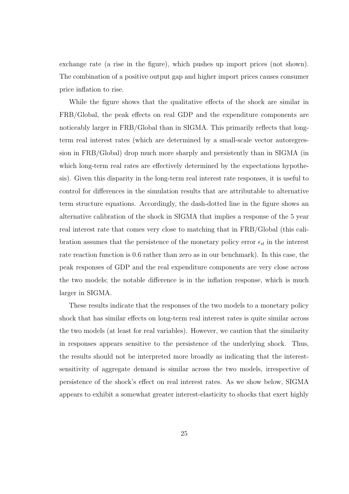exchange rate (a rise in the figure), which pushes up import prices (not shown). The combination of a positive output gap and higher import prices causes consumer price inflation to rise.

While the figure shows that the qualitative effects of the shock are similar in FRB/Global, the peak effects on real GDP and the expenditure components are noticeably larger in FRB/Global than in SIGMA. This primarily reflects that longterm real interest rates (which are determined by a small-scale vector autoregression in FRB/Global) drop much more sharply and persistently than in SIGMA (in which long-term real rates are effectively determined by the expectations hypothesis). Given this disparity in the long-term real interest rate responses, it is useful to control for differences in the simulation results that are attributable to alternative term structure equations. Accordingly, the dash-dotted line in the figure shows an alternative calibration of the shock in SIGMA that implies a response of the 5 year real interest rate that comes very close to matching that in FRB/Global (this calibration assumes that the persistence of the monetary policy error  $\epsilon_{it}$  in the interest rate reaction function is 0.6 rather than zero as in our benchmark). In this case, the peak responses of GDP and the real expenditure components are very close across the two models; the notable difference is in the inflation response, which is much larger in SIGMA.

These results indicate that the responses of the two models to a monetary policy shock that has similar effects on long-term real interest rates is quite similar across the two models (at least for real variables). However, we caution that the similarity in responses appears sensitive to the persistence of the underlying shock. Thus, the results should not be interpreted more broadly as indicating that the interestsensitivity of aggregate demand is similar across the two models, irrespective of persistence of the shock's effect on real interest rates. As we show below, SIGMA appears to exhibit a somewhat greater interest-elasticity to shocks that exert highly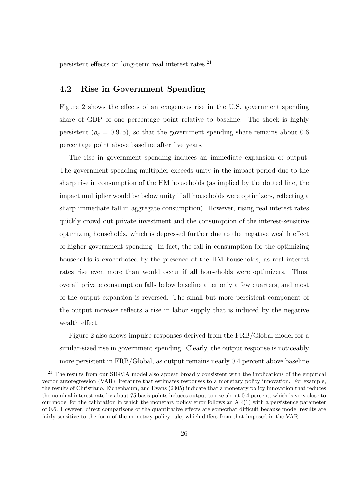persistent effects on long-term real interest rates.<sup>21</sup>

### 4.2 Rise in Government Spending

Figure 2 shows the effects of an exogenous rise in the U.S. government spending share of GDP of one percentage point relative to baseline. The shock is highly persistent ( $\rho_g = 0.975$ ), so that the government spending share remains about 0.6 percentage point above baseline after five years.

The rise in government spending induces an immediate expansion of output. The government spending multiplier exceeds unity in the impact period due to the sharp rise in consumption of the HM households (as implied by the dotted line, the impact multiplier would be below unity if all households were optimizers, reflecting a sharp immediate fall in aggregate consumption). However, rising real interest rates quickly crowd out private investment and the consumption of the interest-sensitive optimizing households, which is depressed further due to the negative wealth effect of higher government spending. In fact, the fall in consumption for the optimizing households is exacerbated by the presence of the HM households, as real interest rates rise even more than would occur if all households were optimizers. Thus, overall private consumption falls below baseline after only a few quarters, and most of the output expansion is reversed. The small but more persistent component of the output increase reflects a rise in labor supply that is induced by the negative wealth effect.

Figure 2 also shows impulse responses derived from the FRB/Global model for a similar-sized rise in government spending. Clearly, the output response is noticeably more persistent in FRB/Global, as output remains nearly 0.4 percent above baseline

<sup>&</sup>lt;sup>21</sup> The results from our SIGMA model also appear broadly consistent with the implications of the empirical vector autoregression (VAR) literature that estimates responses to a monetary policy innovation. For example, the results of Christiano, Eichenbaum, and Evans (2005) indicate that a monetary policy innovation that reduces the nominal interest rate by about 75 basis points induces output to rise about 0.4 percent, which is very close to our model for the calibration in which the monetary policy error follows an AR(1) with a persistence parameter of 0.6. However, direct comparisons of the quantitative effects are somewhat difficult because model results are fairly sensitive to the form of the monetary policy rule, which differs from that imposed in the VAR.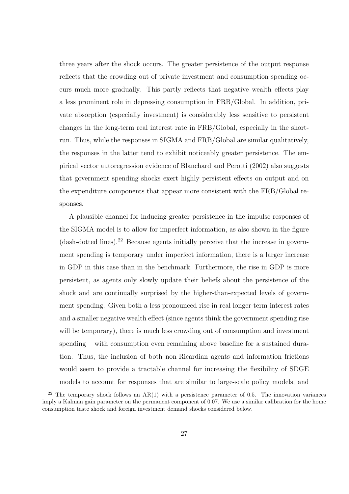three years after the shock occurs. The greater persistence of the output response reflects that the crowding out of private investment and consumption spending occurs much more gradually. This partly reflects that negative wealth effects play a less prominent role in depressing consumption in FRB/Global. In addition, private absorption (especially investment) is considerably less sensitive to persistent changes in the long-term real interest rate in FRB/Global, especially in the shortrun. Thus, while the responses in SIGMA and FRB/Global are similar qualitatively, the responses in the latter tend to exhibit noticeably greater persistence. The empirical vector autoregression evidence of Blanchard and Perotti (2002) also suggests that government spending shocks exert highly persistent effects on output and on the expenditure components that appear more consistent with the FRB/Global responses.

A plausible channel for inducing greater persistence in the impulse responses of the SIGMA model is to allow for imperfect information, as also shown in the figure (dash-dotted lines).<sup>22</sup> Because agents initially perceive that the increase in government spending is temporary under imperfect information, there is a larger increase in GDP in this case than in the benchmark. Furthermore, the rise in GDP is more persistent, as agents only slowly update their beliefs about the persistence of the shock and are continually surprised by the higher-than-expected levels of government spending. Given both a less pronounced rise in real longer-term interest rates and a smaller negative wealth effect (since agents think the government spending rise will be temporary), there is much less crowding out of consumption and investment spending – with consumption even remaining above baseline for a sustained duration. Thus, the inclusion of both non-Ricardian agents and information frictions would seem to provide a tractable channel for increasing the flexibility of SDGE models to account for responses that are similar to large-scale policy models, and

<sup>&</sup>lt;sup>22</sup> The temporary shock follows an  $AR(1)$  with a persistence parameter of 0.5. The innovation variances imply a Kalman gain parameter on the permanent component of 0.07. We use a similar calibration for the home consumption taste shock and foreign investment demand shocks considered below.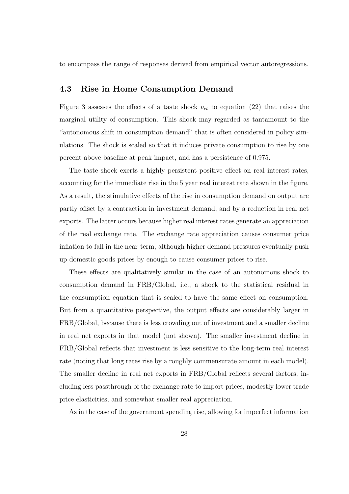to encompass the range of responses derived from empirical vector autoregressions.

#### 4.3 Rise in Home Consumption Demand

Figure 3 assesses the effects of a taste shock  $\nu_{ct}$  to equation (22) that raises the marginal utility of consumption. This shock may regarded as tantamount to the "autonomous shift in consumption demand" that is often considered in policy simulations. The shock is scaled so that it induces private consumption to rise by one percent above baseline at peak impact, and has a persistence of 0.975.

The taste shock exerts a highly persistent positive effect on real interest rates, accounting for the immediate rise in the 5 year real interest rate shown in the figure. As a result, the stimulative effects of the rise in consumption demand on output are partly offset by a contraction in investment demand, and by a reduction in real net exports. The latter occurs because higher real interest rates generate an appreciation of the real exchange rate. The exchange rate appreciation causes consumer price inflation to fall in the near-term, although higher demand pressures eventually push up domestic goods prices by enough to cause consumer prices to rise.

These effects are qualitatively similar in the case of an autonomous shock to consumption demand in FRB/Global, i.e., a shock to the statistical residual in the consumption equation that is scaled to have the same effect on consumption. But from a quantitative perspective, the output effects are considerably larger in FRB/Global, because there is less crowding out of investment and a smaller decline in real net exports in that model (not shown). The smaller investment decline in FRB/Global reflects that investment is less sensitive to the long-term real interest rate (noting that long rates rise by a roughly commensurate amount in each model). The smaller decline in real net exports in FRB/Global reflects several factors, including less passthrough of the exchange rate to import prices, modestly lower trade price elasticities, and somewhat smaller real appreciation.

As in the case of the government spending rise, allowing for imperfect information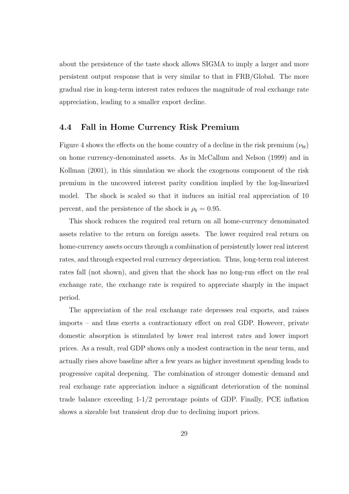about the persistence of the taste shock allows SIGMA to imply a larger and more persistent output response that is very similar to that in FRB/Global. The more gradual rise in long-term interest rates reduces the magnitude of real exchange rate appreciation, leading to a smaller export decline.

#### 4.4 Fall in Home Currency Risk Premium

Figure 4 shows the effects on the home country of a decline in the risk premium  $(\nu_{bt})$ on home currency-denominated assets. As in McCallum and Nelson (1999) and in Kollman (2001), in this simulation we shock the exogenous component of the risk premium in the uncovered interest parity condition implied by the log-linearized model. The shock is scaled so that it induces an initial real appreciation of 10 percent, and the persistence of the shock is  $\rho_b = 0.95$ .

This shock reduces the required real return on all home-currency denominated assets relative to the return on foreign assets. The lower required real return on home-currency assets occurs through a combination of persistently lower real interest rates, and through expected real currency depreciation. Thus, long-term real interest rates fall (not shown), and given that the shock has no long-run effect on the real exchange rate, the exchange rate is required to appreciate sharply in the impact period.

The appreciation of the real exchange rate depresses real exports, and raises imports – and thus exerts a contractionary effect on real GDP. However, private domestic absorption is stimulated by lower real interest rates and lower import prices. As a result, real GDP shows only a modest contraction in the near term, and actually rises above baseline after a few years as higher investment spending leads to progressive capital deepening. The combination of stronger domestic demand and real exchange rate appreciation induce a significant deterioration of the nominal trade balance exceeding 1-1/2 percentage points of GDP. Finally, PCE inflation shows a sizeable but transient drop due to declining import prices.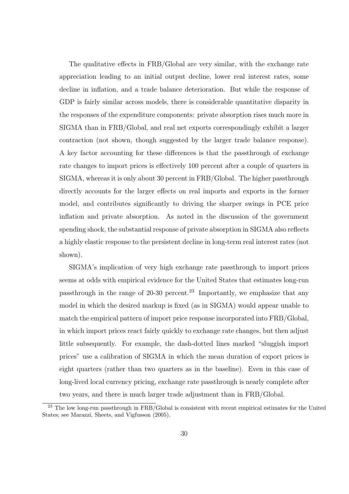The qualitative effects in FRB/Global are very similar, with the exchange rate appreciation leading to an initial output decline, lower real interest rates, some decline in inflation, and a trade balance deterioration. But while the response of GDP is fairly similar across models, there is considerable quantitative disparity in the responses of the expenditure components: private absorption rises much more in SIGMA than in FRB/Global, and real net exports correspondingly exhibit a larger contraction (not shown, though suggested by the larger trade balance response). A key factor accounting for these differences is that the passthrough of exchange rate changes to import prices is effectively 100 percent after a couple of quarters in SIGMA, whereas it is only about 30 percent in FRB/Global. The higher passthrough directly accounts for the larger effects on real imports and exports in the former model, and contributes significantly to driving the sharper swings in PCE price inflation and private absorption. As noted in the discussion of the government spending shock, the substantial response of private absorption in SIGMA also reflects a highly elastic response to the persistent decline in long-term real interest rates (not shown).

SIGMA's implication of very high exchange rate passthrough to import prices seems at odds with empirical evidence for the United States that estimates long-run passthrough in the range of  $20-30$  percent.<sup>23</sup> Importantly, we emphasize that any model in which the desired markup is fixed (as in SIGMA) would appear unable to match the empirical pattern of import price response incorporated into FRB/Global, in which import prices react fairly quickly to exchange rate changes, but then adjust little subsequently. For example, the dash-dotted lines marked "sluggish import prices" use a calibration of SIGMA in which the mean duration of export prices is eight quarters (rather than two quarters as in the baseline). Even in this case of long-lived local currency pricing, exchange rate passthrough is nearly complete after two years, and there is much larger trade adjustment than in FRB/Global.

<sup>&</sup>lt;sup>23</sup> The low long-run passthrough in FRB/Global is consistent with recent empirical estimates for the United States; see Marazzi, Sheets, and Vigfusson (2005).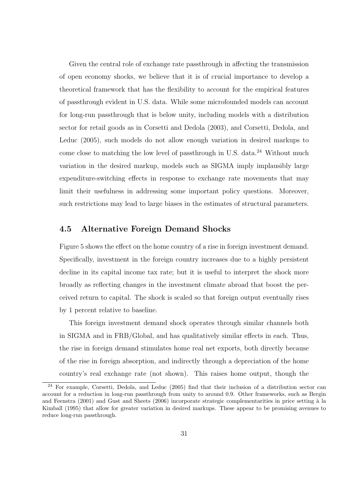Given the central role of exchange rate passthrough in affecting the transmission of open economy shocks, we believe that it is of crucial importance to develop a theoretical framework that has the flexibility to account for the empirical features of passthrough evident in U.S. data. While some microfounded models can account for long-run passthrough that is below unity, including models with a distribution sector for retail goods as in Corsetti and Dedola (2003), and Corsetti, Dedola, and Leduc (2005), such models do not allow enough variation in desired markups to come close to matching the low level of passthrough in U.S. data. $^{24}$  Without much variation in the desired markup, models such as SIGMA imply implausibly large expenditure-switching effects in response to exchange rate movements that may limit their usefulness in addressing some important policy questions. Moreover, such restrictions may lead to large biases in the estimates of structural parameters.

#### 4.5 Alternative Foreign Demand Shocks

Figure 5 shows the effect on the home country of a rise in foreign investment demand. Specifically, investment in the foreign country increases due to a highly persistent decline in its capital income tax rate; but it is useful to interpret the shock more broadly as reflecting changes in the investment climate abroad that boost the perceived return to capital. The shock is scaled so that foreign output eventually rises by 1 percent relative to baseline.

This foreign investment demand shock operates through similar channels both in SIGMA and in FRB/Global, and has qualitatively similar effects in each. Thus, the rise in foreign demand stimulates home real net exports, both directly because of the rise in foreign absorption, and indirectly through a depreciation of the home country's real exchange rate (not shown). This raises home output, though the

<sup>&</sup>lt;sup>24</sup> For example, Corsetti, Dedola, and Leduc (2005) find that their inclusion of a distribution sector can account for a reduction in long-run passthrough from unity to around 0.9. Other frameworks, such as Bergin and Feenstra (2001) and Gust and Sheets (2006) incorporate strategic complementarities in price setting à la Kimball (1995) that allow for greater variation in desired markups. These appear to be promising avenues to reduce long-run passthrough.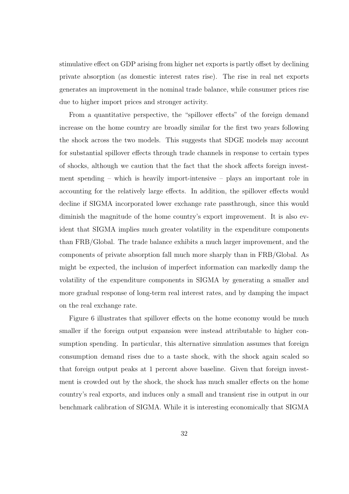stimulative effect on GDP arising from higher net exports is partly offset by declining private absorption (as domestic interest rates rise). The rise in real net exports generates an improvement in the nominal trade balance, while consumer prices rise due to higher import prices and stronger activity.

From a quantitative perspective, the "spillover effects" of the foreign demand increase on the home country are broadly similar for the first two years following the shock across the two models. This suggests that SDGE models may account for substantial spillover effects through trade channels in response to certain types of shocks, although we caution that the fact that the shock affects foreign investment spending – which is heavily import-intensive – plays an important role in accounting for the relatively large effects. In addition, the spillover effects would decline if SIGMA incorporated lower exchange rate passthrough, since this would diminish the magnitude of the home country's export improvement. It is also evident that SIGMA implies much greater volatility in the expenditure components than FRB/Global. The trade balance exhibits a much larger improvement, and the components of private absorption fall much more sharply than in FRB/Global. As might be expected, the inclusion of imperfect information can markedly damp the volatility of the expenditure components in SIGMA by generating a smaller and more gradual response of long-term real interest rates, and by damping the impact on the real exchange rate.

Figure 6 illustrates that spillover effects on the home economy would be much smaller if the foreign output expansion were instead attributable to higher consumption spending. In particular, this alternative simulation assumes that foreign consumption demand rises due to a taste shock, with the shock again scaled so that foreign output peaks at 1 percent above baseline. Given that foreign investment is crowded out by the shock, the shock has much smaller effects on the home country's real exports, and induces only a small and transient rise in output in our benchmark calibration of SIGMA. While it is interesting economically that SIGMA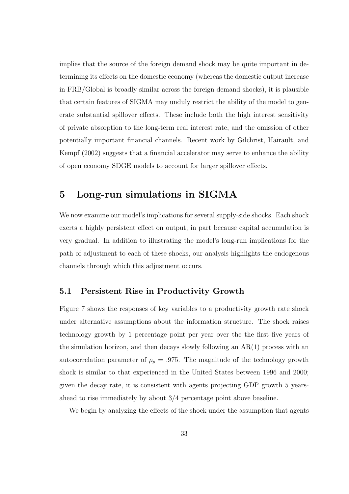implies that the source of the foreign demand shock may be quite important in determining its effects on the domestic economy (whereas the domestic output increase in FRB/Global is broadly similar across the foreign demand shocks), it is plausible that certain features of SIGMA may unduly restrict the ability of the model to generate substantial spillover effects. These include both the high interest sensitivity of private absorption to the long-term real interest rate, and the omission of other potentially important financial channels. Recent work by Gilchrist, Hairault, and Kempf (2002) suggests that a financial accelerator may serve to enhance the ability of open economy SDGE models to account for larger spillover effects.

### 5 Long-run simulations in SIGMA

We now examine our model's implications for several supply-side shocks. Each shock exerts a highly persistent effect on output, in part because capital accumulation is very gradual. In addition to illustrating the model's long-run implications for the path of adjustment to each of these shocks, our analysis highlights the endogenous channels through which this adjustment occurs.

#### 5.1 Persistent Rise in Productivity Growth

Figure 7 shows the responses of key variables to a productivity growth rate shock under alternative assumptions about the information structure. The shock raises technology growth by 1 percentage point per year over the the first five years of the simulation horizon, and then decays slowly following an AR(1) process with an autocorrelation parameter of  $\rho_p = .975$ . The magnitude of the technology growth shock is similar to that experienced in the United States between 1996 and 2000; given the decay rate, it is consistent with agents projecting GDP growth 5 yearsahead to rise immediately by about 3/4 percentage point above baseline.

We begin by analyzing the effects of the shock under the assumption that agents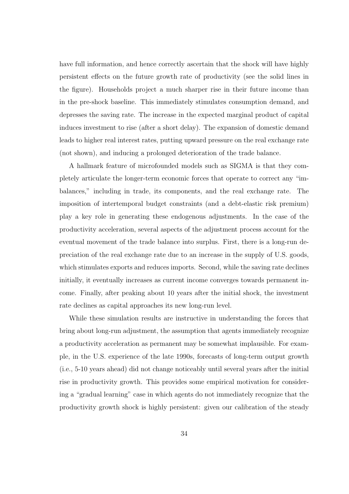have full information, and hence correctly ascertain that the shock will have highly persistent effects on the future growth rate of productivity (see the solid lines in the figure). Households project a much sharper rise in their future income than in the pre-shock baseline. This immediately stimulates consumption demand, and depresses the saving rate. The increase in the expected marginal product of capital induces investment to rise (after a short delay). The expansion of domestic demand leads to higher real interest rates, putting upward pressure on the real exchange rate (not shown), and inducing a prolonged deterioration of the trade balance.

A hallmark feature of microfounded models such as SIGMA is that they completely articulate the longer-term economic forces that operate to correct any "imbalances," including in trade, its components, and the real exchange rate. The imposition of intertemporal budget constraints (and a debt-elastic risk premium) play a key role in generating these endogenous adjustments. In the case of the productivity acceleration, several aspects of the adjustment process account for the eventual movement of the trade balance into surplus. First, there is a long-run depreciation of the real exchange rate due to an increase in the supply of U.S. goods, which stimulates exports and reduces imports. Second, while the saving rate declines initially, it eventually increases as current income converges towards permanent income. Finally, after peaking about 10 years after the initial shock, the investment rate declines as capital approaches its new long-run level.

While these simulation results are instructive in understanding the forces that bring about long-run adjustment, the assumption that agents immediately recognize a productivity acceleration as permanent may be somewhat implausible. For example, in the U.S. experience of the late 1990s, forecasts of long-term output growth (i.e., 5-10 years ahead) did not change noticeably until several years after the initial rise in productivity growth. This provides some empirical motivation for considering a "gradual learning" case in which agents do not immediately recognize that the productivity growth shock is highly persistent: given our calibration of the steady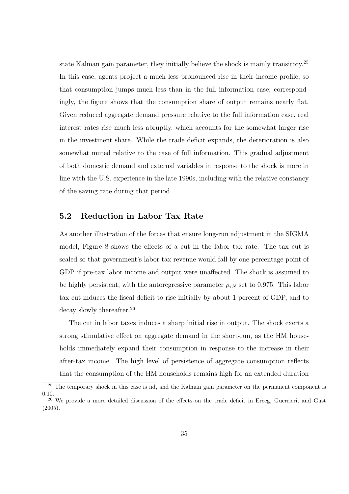state Kalman gain parameter, they initially believe the shock is mainly transitory.<sup>25</sup> In this case, agents project a much less pronounced rise in their income profile, so that consumption jumps much less than in the full information case; correspondingly, the figure shows that the consumption share of output remains nearly flat. Given reduced aggregate demand pressure relative to the full information case, real interest rates rise much less abruptly, which accounts for the somewhat larger rise in the investment share. While the trade deficit expands, the deterioration is also somewhat muted relative to the case of full information. This gradual adjustment of both domestic demand and external variables in response to the shock is more in line with the U.S. experience in the late 1990s, including with the relative constancy of the saving rate during that period.

#### 5.2 Reduction in Labor Tax Rate

As another illustration of the forces that ensure long-run adjustment in the SIGMA model, Figure 8 shows the effects of a cut in the labor tax rate. The tax cut is scaled so that government's labor tax revenue would fall by one percentage point of GDP if pre-tax labor income and output were unaffected. The shock is assumed to be highly persistent, with the autoregressive parameter  $\rho_{\tau N}$  set to 0.975. This labor tax cut induces the fiscal deficit to rise initially by about 1 percent of GDP, and to decay slowly thereafter.<sup>26</sup>

The cut in labor taxes induces a sharp initial rise in output. The shock exerts a strong stimulative effect on aggregate demand in the short-run, as the HM households immediately expand their consumption in response to the increase in their after-tax income. The high level of persistence of aggregate consumption reflects that the consumption of the HM households remains high for an extended duration

<sup>&</sup>lt;sup>25</sup> The temporary shock in this case is iid, and the Kalman gain parameter on the permanent component is 0.10. <sup>26</sup> We provide a more detailed discussion of the effects on the trade deficit in Erceg, Guerrieri, and Gust

<sup>(2005).</sup>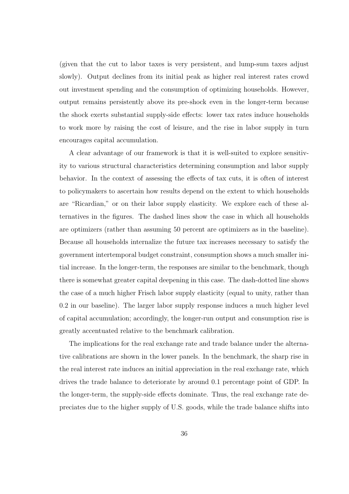(given that the cut to labor taxes is very persistent, and lump-sum taxes adjust slowly). Output declines from its initial peak as higher real interest rates crowd out investment spending and the consumption of optimizing households. However, output remains persistently above its pre-shock even in the longer-term because the shock exerts substantial supply-side effects: lower tax rates induce households to work more by raising the cost of leisure, and the rise in labor supply in turn encourages capital accumulation.

A clear advantage of our framework is that it is well-suited to explore sensitivity to various structural characteristics determining consumption and labor supply behavior. In the context of assessing the effects of tax cuts, it is often of interest to policymakers to ascertain how results depend on the extent to which households are "Ricardian," or on their labor supply elasticity. We explore each of these alternatives in the figures. The dashed lines show the case in which all households are optimizers (rather than assuming 50 percent are optimizers as in the baseline). Because all households internalize the future tax increases necessary to satisfy the government intertemporal budget constraint, consumption shows a much smaller initial increase. In the longer-term, the responses are similar to the benchmark, though there is somewhat greater capital deepening in this case. The dash-dotted line shows the case of a much higher Frisch labor supply elasticity (equal to unity, rather than 0.2 in our baseline). The larger labor supply response induces a much higher level of capital accumulation; accordingly, the longer-run output and consumption rise is greatly accentuated relative to the benchmark calibration.

The implications for the real exchange rate and trade balance under the alternative calibrations are shown in the lower panels. In the benchmark, the sharp rise in the real interest rate induces an initial appreciation in the real exchange rate, which drives the trade balance to deteriorate by around 0.1 percentage point of GDP. In the longer-term, the supply-side effects dominate. Thus, the real exchange rate depreciates due to the higher supply of U.S. goods, while the trade balance shifts into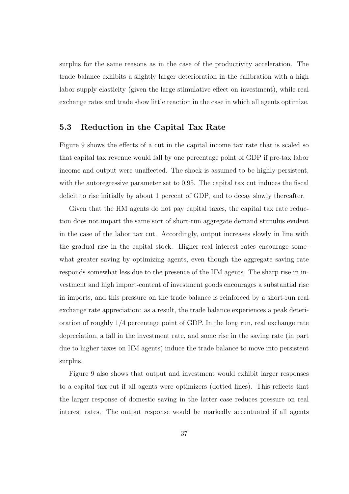surplus for the same reasons as in the case of the productivity acceleration. The trade balance exhibits a slightly larger deterioration in the calibration with a high labor supply elasticity (given the large stimulative effect on investment), while real exchange rates and trade show little reaction in the case in which all agents optimize.

#### 5.3 Reduction in the Capital Tax Rate

Figure 9 shows the effects of a cut in the capital income tax rate that is scaled so that capital tax revenue would fall by one percentage point of GDP if pre-tax labor income and output were unaffected. The shock is assumed to be highly persistent, with the autoregressive parameter set to 0.95. The capital tax cut induces the fiscal deficit to rise initially by about 1 percent of GDP, and to decay slowly thereafter.

Given that the HM agents do not pay capital taxes, the capital tax rate reduction does not impart the same sort of short-run aggregate demand stimulus evident in the case of the labor tax cut. Accordingly, output increases slowly in line with the gradual rise in the capital stock. Higher real interest rates encourage somewhat greater saving by optimizing agents, even though the aggregate saving rate responds somewhat less due to the presence of the HM agents. The sharp rise in investment and high import-content of investment goods encourages a substantial rise in imports, and this pressure on the trade balance is reinforced by a short-run real exchange rate appreciation: as a result, the trade balance experiences a peak deterioration of roughly 1/4 percentage point of GDP. In the long run, real exchange rate depreciation, a fall in the investment rate, and some rise in the saving rate (in part due to higher taxes on HM agents) induce the trade balance to move into persistent surplus.

Figure 9 also shows that output and investment would exhibit larger responses to a capital tax cut if all agents were optimizers (dotted lines). This reflects that the larger response of domestic saving in the latter case reduces pressure on real interest rates. The output response would be markedly accentuated if all agents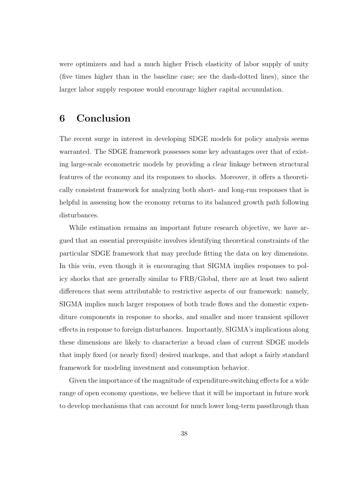were optimizers and had a much higher Frisch elasticity of labor supply of unity (five times higher than in the baseline case; see the dash-dotted lines), since the larger labor supply response would encourage higher capital accumulation.

### 6 Conclusion

The recent surge in interest in developing SDGE models for policy analysis seems warranted. The SDGE framework possesses some key advantages over that of existing large-scale econometric models by providing a clear linkage between structural features of the economy and its responses to shocks. Moreover, it offers a theoretically consistent framework for analyzing both short- and long-run responses that is helpful in assessing how the economy returns to its balanced growth path following disturbances.

While estimation remains an important future research objective, we have argued that an essential prerequisite involves identifying theoretical constraints of the particular SDGE framework that may preclude fitting the data on key dimensions. In this vein, even though it is encouraging that SIGMA implies responses to policy shocks that are generally similar to FRB/Global, there are at least two salient differences that seem attributable to restrictive aspects of our framework: namely, SIGMA implies much larger responses of both trade flows and the domestic expenditure components in response to shocks, and smaller and more transient spillover effects in response to foreign disturbances. Importantly, SIGMA's implications along these dimensions are likely to characterize a broad class of current SDGE models that imply fixed (or nearly fixed) desired markups, and that adopt a fairly standard framework for modeling investment and consumption behavior.

Given the importance of the magnitude of expenditure-switching effects for a wide range of open economy questions, we believe that it will be important in future work to develop mechanisms that can account for much lower long-term passthrough than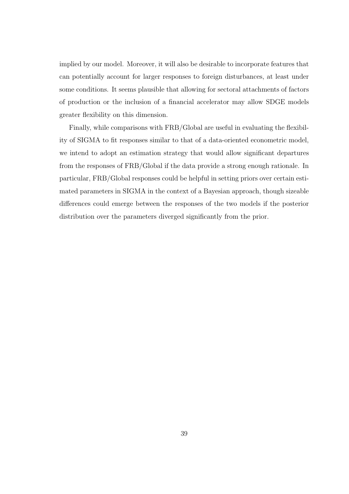implied by our model. Moreover, it will also be desirable to incorporate features that can potentially account for larger responses to foreign disturbances, at least under some conditions. It seems plausible that allowing for sectoral attachments of factors of production or the inclusion of a financial accelerator may allow SDGE models greater flexibility on this dimension.

Finally, while comparisons with FRB/Global are useful in evaluating the flexibility of SIGMA to fit responses similar to that of a data-oriented econometric model, we intend to adopt an estimation strategy that would allow significant departures from the responses of FRB/Global if the data provide a strong enough rationale. In particular, FRB/Global responses could be helpful in setting priors over certain estimated parameters in SIGMA in the context of a Bayesian approach, though sizeable differences could emerge between the responses of the two models if the posterior distribution over the parameters diverged significantly from the prior.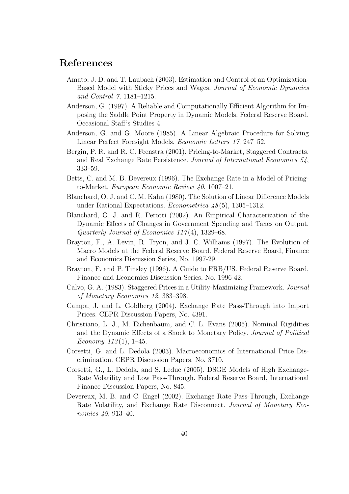### References

- Amato, J. D. and T. Laubach (2003). Estimation and Control of an Optimization-Based Model with Sticky Prices and Wages. Journal of Economic Dynamics and Control 7, 1181–1215.
- Anderson, G. (1997). A Reliable and Computationally Efficient Algorithm for Imposing the Saddle Point Property in Dynamic Models. Federal Reserve Board, Occasional Staff's Studies 4.
- Anderson, G. and G. Moore (1985). A Linear Algebraic Procedure for Solving Linear Perfect Foresight Models. Economic Letters 17, 247–52.
- Bergin, P. R. and R. C. Feenstra (2001). Pricing-to-Market, Staggered Contracts, and Real Exchange Rate Persistence. Journal of International Economics 54, 333–59.
- Betts, C. and M. B. Devereux (1996). The Exchange Rate in a Model of Pricingto-Market. European Economic Review 40, 1007–21.
- Blanchard, O. J. and C. M. Kahn (1980). The Solution of Linear Difference Models under Rational Expectations. *Econometrica*  $48(5)$ , 1305–1312.
- Blanchard, O. J. and R. Perotti (2002). An Empirical Characterization of the Dynamic Effects of Changes in Government Spending and Taxes on Output. Quarterly Journal of Economics 117 (4), 1329–68.
- Brayton, F., A. Levin, R. Tryon, and J. C. Williams (1997). The Evolution of Macro Models at the Federal Reserve Board. Federal Reserve Board, Finance and Economics Discussion Series, No. 1997-29.
- Brayton, F. and P. Tinsley (1996). A Guide to FRB/US. Federal Reserve Board, Finance and Economics Discussion Series, No. 1996-42.
- Calvo, G. A. (1983). Staggered Prices in a Utility-Maximizing Framework. Journal of Monetary Economics 12, 383–398.
- Campa, J. and L. Goldberg (2004). Exchange Rate Pass-Through into Import Prices. CEPR Discussion Papers, No. 4391.
- Christiano, L. J., M. Eichenbaum, and C. L. Evans (2005). Nominal Rigidities and the Dynamic Effects of a Shock to Monetary Policy. Journal of Political Economy  $113(1)$ , 1–45.
- Corsetti, G. and L. Dedola (2003). Macroeconomics of International Price Discrimination. CEPR Discussion Papers, No. 3710.
- Corsetti, G., L. Dedola, and S. Leduc (2005). DSGE Models of High Exchange-Rate Volatility and Low Pass-Through. Federal Reserve Board, International Finance Discussion Papers, No. 845.
- Devereux, M. B. and C. Engel (2002). Exchange Rate Pass-Through, Exchange Rate Volatility, and Exchange Rate Disconnect. Journal of Monetary Economics 49, 913–40.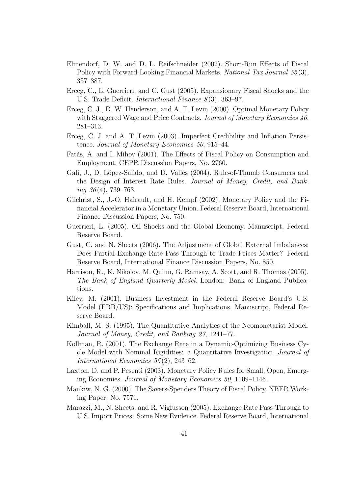- Elmendorf, D. W. and D. L. Reifschneider (2002). Short-Run Effects of Fiscal Policy with Forward-Looking Financial Markets. National Tax Journal 55(3), 357–387.
- Erceg, C., L. Guerrieri, and C. Gust (2005). Expansionary Fiscal Shocks and the U.S. Trade Deficit. *International Finance*  $8(3)$ , 363–97.
- Erceg, C. J., D. W. Henderson, and A. T. Levin (2000). Optimal Monetary Policy with Staggered Wage and Price Contracts. Journal of Monetary Economics 46, 281–313.
- Erceg, C. J. and A. T. Levin (2003). Imperfect Credibility and Inflation Persistence. Journal of Monetary Economics 50, 915–44.
- Fatás, A. and I. Mihov (2001). The Effects of Fiscal Policy on Consumption and Employment. CEPR Discussion Papers, No. 2760.
- Galí, J., D. López-Salido, and D. Vallés (2004). Rule-of-Thumb Consumers and the Design of Interest Rate Rules. Journal of Money, Credit, and Banking  $36(4)$ , 739–763.
- Gilchrist, S., J.-O. Hairault, and H. Kempf (2002). Monetary Policy and the Financial Accelerator in a Monetary Union. Federal Reserve Board, International Finance Discussion Papers, No. 750.
- Guerrieri, L. (2005). Oil Shocks and the Global Economy. Manuscript, Federal Reserve Board.
- Gust, C. and N. Sheets (2006). The Adjustment of Global External Imbalances: Does Partial Exchange Rate Pass-Through to Trade Prices Matter? Federal Reserve Board, International Finance Discussion Papers, No. 850.
- Harrison, R., K. Nikolov, M. Quinn, G. Ramsay, A. Scott, and R. Thomas (2005). The Bank of England Quarterly Model. London: Bank of England Publications.
- Kiley, M. (2001). Business Investment in the Federal Reserve Board's U.S. Model (FRB/US): Specifications and Implications. Manuscript, Federal Reserve Board.
- Kimball, M. S. (1995). The Quantitative Analytics of the Neomonetarist Model. Journal of Money, Credit, and Banking 27, 1241–77.
- Kollman, R. (2001). The Exchange Rate in a Dynamic-Optimizing Business Cycle Model with Nominal Rigidities: a Quantitative Investigation. Journal of International Economics 55 (2), 243–62.
- Laxton, D. and P. Pesenti (2003). Monetary Policy Rules for Small, Open, Emerging Economies. Journal of Monetary Economics 50, 1109–1146.
- Mankiw, N. G. (2000). The Savers-Spenders Theory of Fiscal Policy. NBER Working Paper, No. 7571.
- Marazzi, M., N. Sheets, and R. Vigfusson (2005). Exchange Rate Pass-Through to U.S. Import Prices: Some New Evidence. Federal Reserve Board, International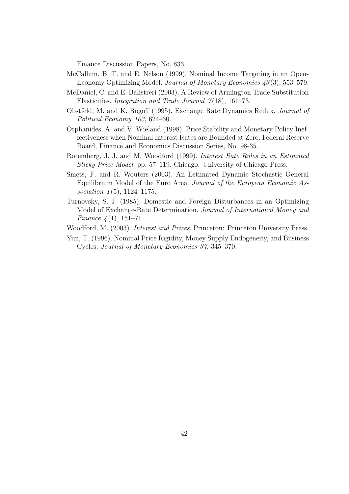Finance Discussion Papers, No. 833.

- McCallum, B. T. and E. Nelson (1999). Nominal Income Targeting in an Open-Economy Optimizing Model. Journal of Monetary Economics 43 (3), 553–579.
- McDaniel, C. and E. Balistreri (2003). A Review of Armington Trade Substitution Elasticities. *Integration and Trade Journal*  $7(18)$ , 161–73.
- Obstfeld, M. and K. Rogoff (1995). Exchange Rate Dynamics Redux. Journal of Political Economy 103, 624–60.
- Orphanides, A. and V. Wieland (1998). Price Stability and Monetary Policy Ineffectiveness when Nominal Interest Rates are Bounded at Zero. Federal Reserve Board, Finance and Economics Discussion Series, No. 98-35.
- Rotemberg, J. J. and M. Woodford (1999). Interest Rate Rules in an Estimated Sticky Price Model, pp. 57–119. Chicago: University of Chicago Press.
- Smets, F. and R. Wouters (2003). An Estimated Dynamic Stochastic General Equilibrium Model of the Euro Area. Journal of the European Economic Association  $1(5)$ , 1124–1175.
- Turnovsky, S. J. (1985). Domestic and Foreign Disturbances in an Optimizing Model of Exchange-Rate Determination. Journal of International Money and Finance  $\frac{1}{4}(1)$ , 151–71.
- Woodford, M. (2003). Interest and Prices. Princeton: Princeton University Press.
- Yun, T. (1996). Nominal Price Rigidity, Money Supply Endogeneity, and Business Cycles. Journal of Monetary Economics 37, 345–370.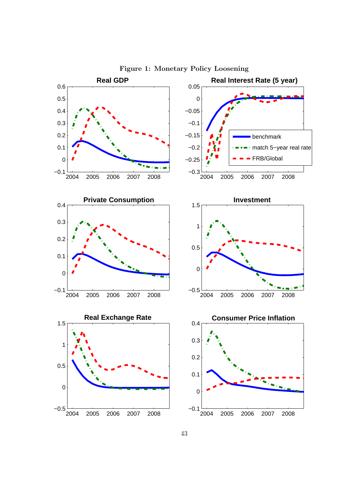

Figure 1: Monetary Policy Loosening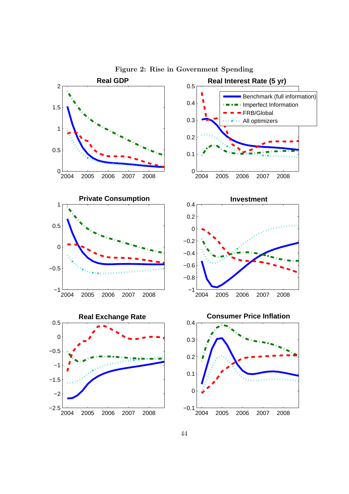

Figure 2: Rise in Government Spending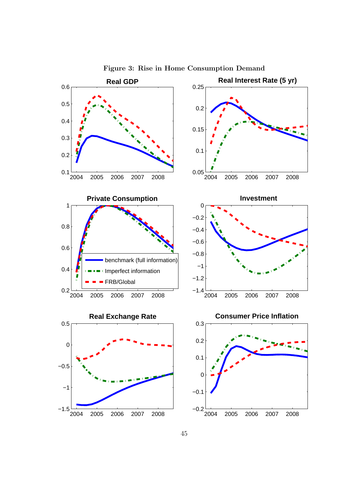

Figure 3: Rise in Home Consumption Demand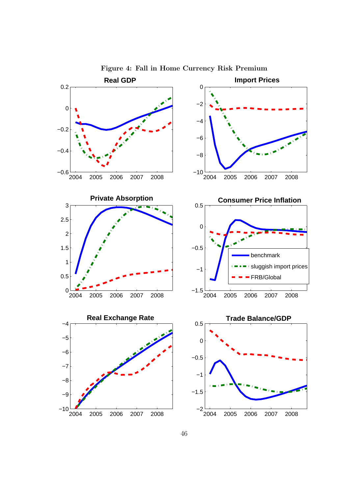

Figure 4: Fall in Home Currency Risk Premium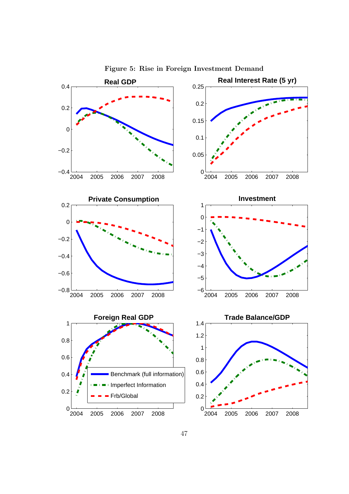

Figure 5: Rise in Foreign Investment Demand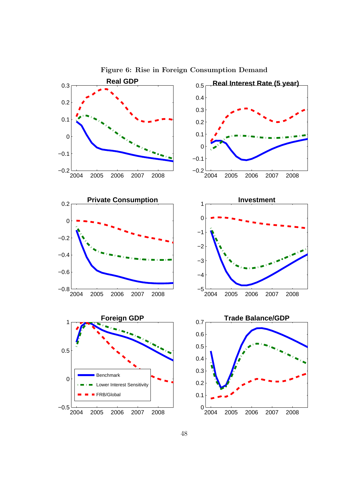

Figure 6: Rise in Foreign Consumption Demand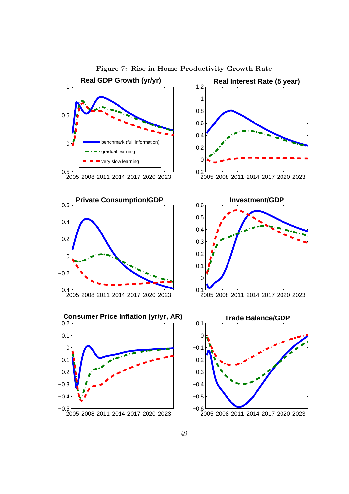

Figure 7: Rise in Home Productivity Growth Rate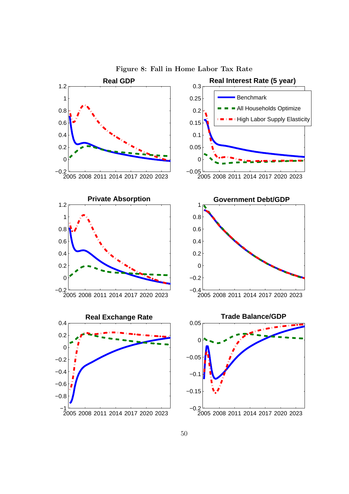

Figure 8: Fall in Home Labor Tax Rate